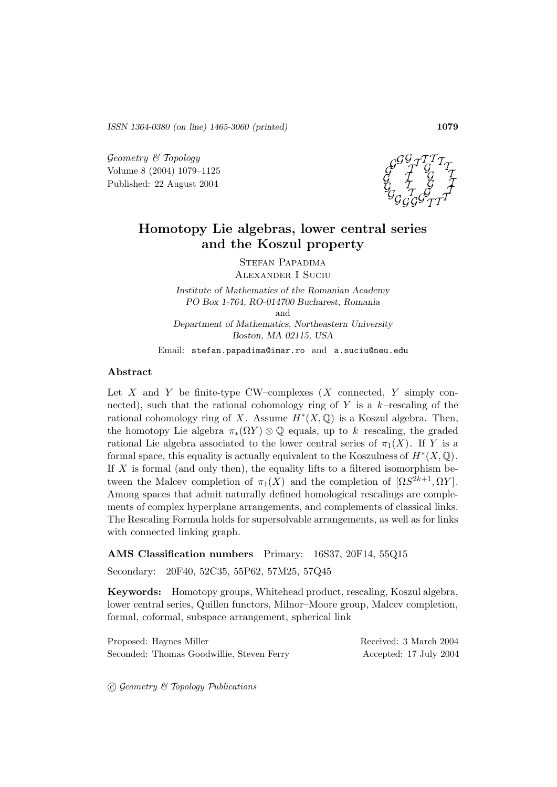*ISSN 1364-0380 (on line) 1465-3060 (printed)* **1079**

Geometry & Topology Volume 8 (2004) 1079–1125 Published: 22 August 2004



# **Homotopy Lie algebras, lower central series and the Koszul property**

Stefan Papadima Alexander I Suciu

*Institute of Mathematics of the Romanian Academy PO Box 1-764, RO-014700 Bucharest, Romania* and *Department of Mathematics, Northeastern University Boston, MA 02115, USA*

Email: stefan.papadima@imar.ro and a.suciu@neu.edu

#### **Abstract**

Let  $X$  and  $Y$  be finite-type CW–complexes  $(X$  connected,  $Y$  simply connected), such that the rational cohomology ring of Y is a  $k$ -rescaling of the rational cohomology ring of X. Assume  $H^*(X, \mathbb{Q})$  is a Koszul algebra. Then, the homotopy Lie algebra  $\pi_*(\Omega Y) \otimes \mathbb{Q}$  equals, up to k–rescaling, the graded rational Lie algebra associated to the lower central series of  $\pi_1(X)$ . If Y is a formal space, this equality is actually equivalent to the Koszulness of  $H^*(X, \mathbb{Q})$ . If  $X$  is formal (and only then), the equality lifts to a filtered isomorphism between the Malcev completion of  $\pi_1(X)$  and the completion of  $[\Omega S^{2k+1}, \Omega Y]$ . Among spaces that admit naturally defined homological rescalings are complements of complex hyperplane arrangements, and complements of classical links. The Rescaling Formula holds for supersolvable arrangements, as well as for links with connected linking graph.

**AMS Classification numbers** Primary: 16S37, 20F14, 55Q15

Secondary: 20F40, 52C35, 55P62, 57M25, 57Q45

**Keywords:** Homotopy groups, Whitehead product, rescaling, Koszul algebra, lower central series, Quillen functors, Milnor–Moore group, Malcev completion, formal, coformal, subspace arrangement, spherical link

| Proposed: Haynes Miller                   | Received: 3 March 2004 |
|-------------------------------------------|------------------------|
| Seconded: Thomas Goodwillie, Steven Ferry | Accepted: 17 July 2004 |

 $\odot$  Geometry & Topology Publications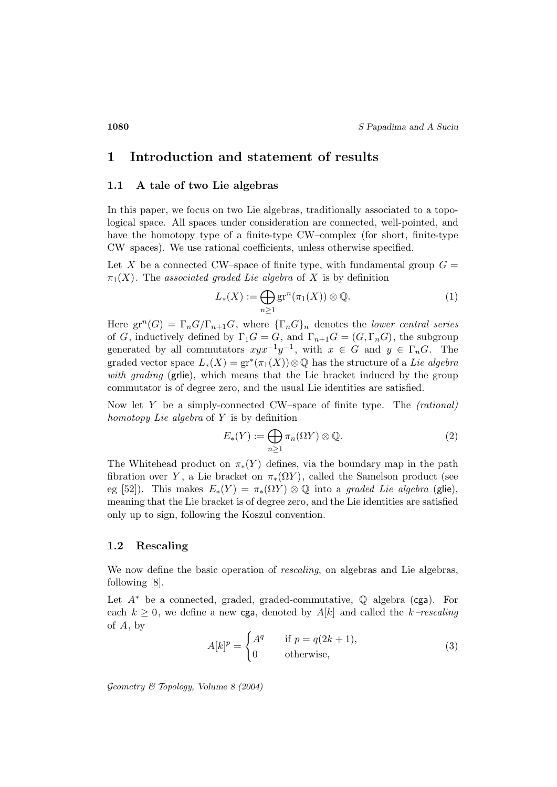# **1 Introduction and statement of results**

### **1.1 A tale of two Lie algebras**

In this paper, we focus on two Lie algebras, traditionally associated to a topological space. All spaces under consideration are connected, well-pointed, and have the homotopy type of a finite-type CW–complex (for short, finite-type CW–spaces). We use rational coefficients, unless otherwise specified.

Let X be a connected CW–space of finite type, with fundamental group  $G =$  $\pi_1(X)$ . The associated graded Lie algebra of X is by definition

$$
L_*(X) := \bigoplus_{n \ge 1} \operatorname{gr}^n(\pi_1(X)) \otimes \mathbb{Q}.\tag{1}
$$

Here  $gr^n(G) = \Gamma_n G/\Gamma_{n+1}G$ , where  ${\{\Gamma_n G\}}_n$  denotes the lower central series of G, inductively defined by  $\Gamma_1 G = G$ , and  $\Gamma_{n+1} G = (G, \Gamma_n G)$ , the subgroup generated by all commutators  $xyx^{-1}y^{-1}$ , with  $x \in G$  and  $y \in \Gamma_n G$ . The graded vector space  $L_*(X) = \text{gr}^*(\pi_1(X)) \otimes \mathbb{Q}$  has the structure of a Lie algebra with grading (grile), which means that the Lie bracket induced by the group commutator is of degree zero, and the usual Lie identities are satisfied.

Now let  $Y$  be a simply-connected CW–space of finite type. The *(rational)* homotopy Lie algebra of  $Y$  is by definition

$$
E_*(Y) := \bigoplus_{n \ge 1} \pi_n(\Omega Y) \otimes \mathbb{Q}.\tag{2}
$$

The Whitehead product on  $\pi_*(Y)$  defines, via the boundary map in the path fibration over Y, a Lie bracket on  $\pi_*(\Omega Y)$ , called the Samelson product (see eg [52]). This makes  $E_*(Y) = \pi_*(\Omega Y) \otimes \mathbb{Q}$  into a graded Lie algebra (glie), meaning that the Lie bracket is of degree zero, and the Lie identities are satisfied only up to sign, following the Koszul convention.

#### **1.2 Rescaling**

We now define the basic operation of *rescaling*, on algebras and Lie algebras, following [8].

Let  $A^*$  be a connected, graded, graded-commutative,  $\mathbb{Q}$ –algebra (cga). For each  $k \geq 0$ , we define a new cga, denoted by  $A[k]$  and called the k–rescaling of  $A$ , by

$$
A[k]^p = \begin{cases} A^q & \text{if } p = q(2k+1), \\ 0 & \text{otherwise,} \end{cases}
$$
 (3)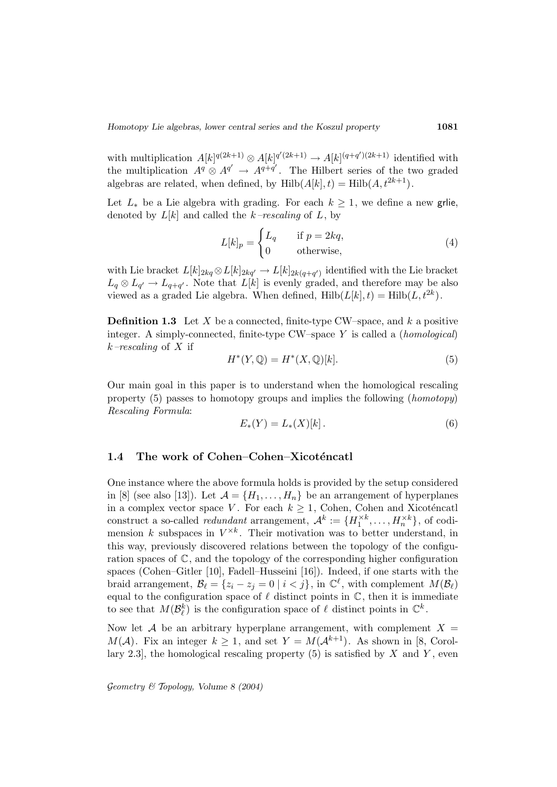with multiplication  $A[k]^{q(2k+1)} \otimes A[k]^{q'(2k+1)} \rightarrow A[k]^{(q+q')(2k+1)}$  identified with the multiplication  $A^q \otimes A^{q'} \to A^{q+q'}$ . The Hilbert series of the two graded algebras are related, when defined, by  $Hilb(A[k], t) = Hilb(A, t^{2k+1}).$ 

Let  $L_*$  be a Lie algebra with grading. For each  $k \geq 1$ , we define a new grile, denoted by  $L[k]$  and called the k–rescaling of L, by

$$
L[k]_p = \begin{cases} L_q & \text{if } p = 2kq, \\ 0 & \text{otherwise,} \end{cases}
$$
 (4)

with Lie bracket  $L[k]_{2kq} \otimes L[k]_{2kq'} \to L[k]_{2k(q+q')}$  identified with the Lie bracket  $L_q \otimes L_{q'} \to L_{q+q'}$ . Note that  $L[k]$  is evenly graded, and therefore may be also viewed as a graded Lie algebra. When defined,  $Hilb(L[k], t) = Hilb(L, t^{2k}).$ 

**Definition 1.3** Let X be a connected, finite-type CW–space, and  $k$  a positive integer. A simply-connected, finite-type  $CW$ –space Y is called a (*homological*)  $k$ –rescaling of X if

$$
H^*(Y, \mathbb{Q}) = H^*(X, \mathbb{Q})[k].\tag{5}
$$

Our main goal in this paper is to understand when the homological rescaling property (5) passes to homotopy groups and implies the following (homotopy) Rescaling Formula:

$$
E_*(Y) = L_*(X)[k].
$$
 (6)

### 1.4 The work of Cohen–Cohen–Xicoténcatl

One instance where the above formula holds is provided by the setup considered in [8] (see also [13]). Let  $\mathcal{A} = \{H_1, \ldots, H_n\}$  be an arrangement of hyperplanes in a complex vector space V. For each  $k \geq 1$ , Cohen, Cohen and Xicoténcatl construct a so-called *redundant* arrangement,  $\mathcal{A}^k := \{H_1^{\times k}, \ldots, H_n^{\times k}\},\$  of codimension k subspaces in  $V^{\times k}$ . Their motivation was to better understand, in this way, previously discovered relations between the topology of the configuration spaces of  $\mathbb{C}$ , and the topology of the corresponding higher configuration spaces (Cohen–Gitler [10], Fadell–Husseini [16]). Indeed, if one starts with the braid arrangement,  $\mathcal{B}_\ell = \{z_i - z_j = 0 \mid i < j\}$ , in  $\mathbb{C}^\ell$ , with complement  $M(\mathcal{B}_\ell)$ equal to the configuration space of  $\ell$  distinct points in  $\mathbb{C}$ , then it is immediate to see that  $M(\mathcal{B}_{\ell}^k)$  is the configuration space of  $\ell$  distinct points in  $\mathbb{C}^k$ .

Now let A be an arbitrary hyperplane arrangement, with complement  $X =$  $M(\mathcal{A})$ . Fix an integer  $k \geq 1$ , and set  $Y = M(\mathcal{A}^{k+1})$ . As shown in [8, Corollary 2.3, the homological rescaling property  $(5)$  is satisfied by X and Y, even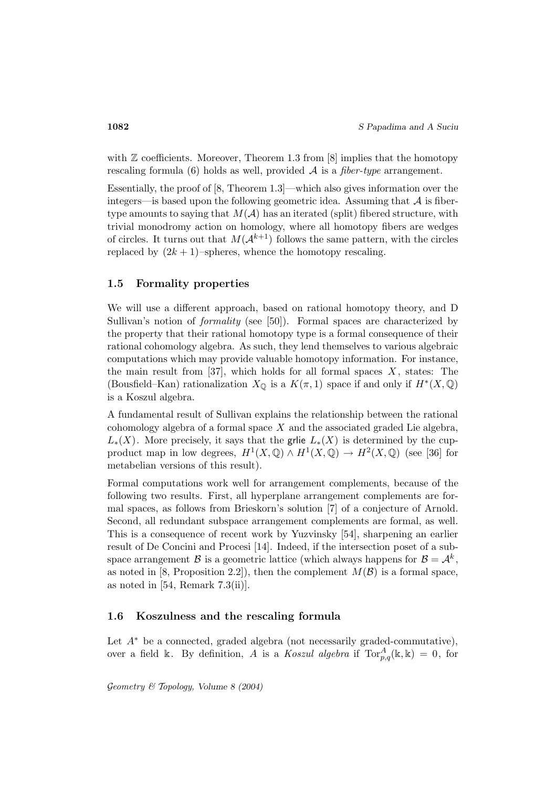with  $\mathbb Z$  coefficients. Moreover, Theorem 1.3 from [8] implies that the homotopy rescaling formula (6) holds as well, provided  $A$  is a *fiber-type* arrangement.

Essentially, the proof of [8, Theorem 1.3]—which also gives information over the integers—is based upon the following geometric idea. Assuming that  $A$  is fibertype amounts to saying that  $M(A)$  has an iterated (split) fibered structure, with trivial monodromy action on homology, where all homotopy fibers are wedges of circles. It turns out that  $M(A^{k+1})$  follows the same pattern, with the circles replaced by  $(2k + 1)$ –spheres, whence the homotopy rescaling.

### **1.5 Formality properties**

We will use a different approach, based on rational homotopy theory, and D Sullivan's notion of *formality* (see [50]). Formal spaces are characterized by the property that their rational homotopy type is a formal consequence of their rational cohomology algebra. As such, they lend themselves to various algebraic computations which may provide valuable homotopy information. For instance, the main result from  $[37]$ , which holds for all formal spaces X, states: The (Bousfield–Kan) rationalization  $X_{\mathbb{Q}}$  is a  $K(\pi, 1)$  space if and only if  $H^*(X, \mathbb{Q})$ is a Koszul algebra.

A fundamental result of Sullivan explains the relationship between the rational cohomology algebra of a formal space  $X$  and the associated graded Lie algebra,  $L_*(X)$ . More precisely, it says that the grile  $L_*(X)$  is determined by the cupproduct map in low degrees,  $H^1(X, \mathbb{Q}) \wedge H^1(X, \mathbb{Q}) \rightarrow H^2(X, \mathbb{Q})$  (see [36] for metabelian versions of this result).

Formal computations work well for arrangement complements, because of the following two results. First, all hyperplane arrangement complements are formal spaces, as follows from Brieskorn's solution [7] of a conjecture of Arnold. Second, all redundant subspace arrangement complements are formal, as well. This is a consequence of recent work by Yuzvinsky [54], sharpening an earlier result of De Concini and Procesi [14]. Indeed, if the intersection poset of a subspace arrangement B is a geometric lattice (which always happens for  $\mathcal{B} = \mathcal{A}^k$ , as noted in [8, Proposition 2.2]), then the complement  $M(\mathcal{B})$  is a formal space, as noted in  $[54,$  Remark  $7.3(ii)$ ].

#### **1.6 Koszulness and the rescaling formula**

Let  $A^*$  be a connected, graded algebra (not necessarily graded-commutative), over a field k. By definition, A is a Koszul algebra if  $Tor_{p,q}^A(\mathbb{k},\mathbb{k})=0$ , for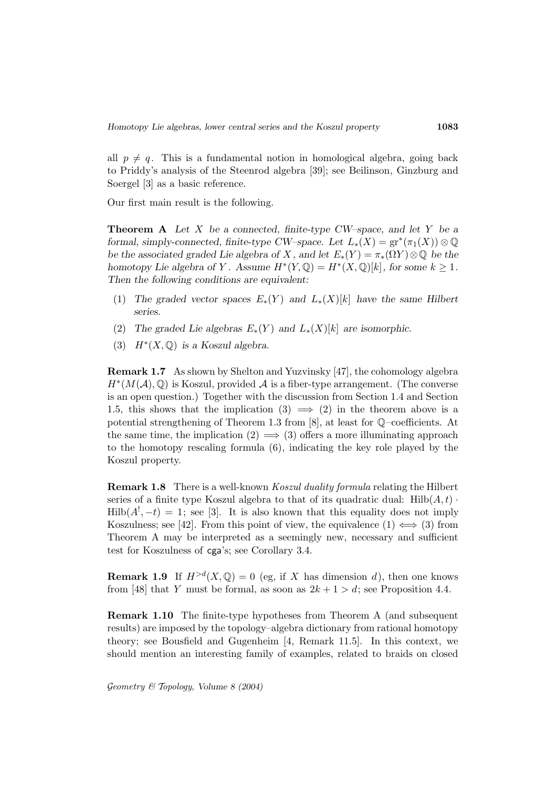all  $p \neq q$ . This is a fundamental notion in homological algebra, going back to Priddy's analysis of the Steenrod algebra [39]; see Beilinson, Ginzburg and Soergel [3] as a basic reference.

Our first main result is the following.

**Theorem A** *Let* X *be a connected, finite-type CW–space, and let* Y *be a formal, simply-connected, finite-type CW–space. Let*  $L_*(X) = \text{gr}^*(\pi_1(X)) \otimes \mathbb{Q}$ *be the associated graded Lie algebra of* X, and let  $E_*(Y) = \pi_*(\Omega Y) \otimes \mathbb{Q}$  *be the homotopy Lie algebra of Y.* Assume  $H^*(Y, \mathbb{Q}) = H^*(X, \mathbb{Q})[k]$ , for some  $k \geq 1$ . *Then the following conditions are equivalent:*

- (1) The graded vector spaces  $E_*(Y)$  and  $L_*(X)[k]$  have the same Hilbert *series.*
- (2) *The graded Lie algebras*  $E_*(Y)$  *and*  $L_*(X)[k]$  *are isomorphic.*
- (3) H∗(X, Q) *is a Koszul algebra.*

**Remark 1.7** As shown by Shelton and Yuzvinsky [47], the cohomology algebra  $H^*(M(\mathcal{A}),\mathbb{Q})$  is Koszul, provided  $\mathcal A$  is a fiber-type arrangement. (The converse is an open question.) Together with the discussion from Section 1.4 and Section 1.5, this shows that the implication  $(3) \implies (2)$  in the theorem above is a potential strengthening of Theorem 1.3 from [8], at least for Q–coefficients. At the same time, the implication  $(2) \implies (3)$  offers a more illuminating approach to the homotopy rescaling formula (6), indicating the key role played by the Koszul property.

**Remark 1.8** There is a well-known *Koszul duality formula* relating the Hilbert series of a finite type Koszul algebra to that of its quadratic dual:  $Hilb(A, t)$ .  $\text{Hilb}(A^!,-t) = 1$ ; see [3]. It is also known that this equality does not imply Koszulness; see [42]. From this point of view, the equivalence  $(1) \iff (3)$  from Theorem A may be interpreted as a seemingly new, necessary and sufficient test for Koszulness of cga's; see Corollary 3.4.

**Remark 1.9** If  $H^{>d}(X, \mathbb{Q}) = 0$  (eg, if X has dimension d), then one knows from [48] that Y must be formal, as soon as  $2k + 1 > d$ ; see Proposition 4.4.

**Remark 1.10** The finite-type hypotheses from Theorem A (and subsequent results) are imposed by the topology–algebra dictionary from rational homotopy theory; see Bousfield and Gugenheim [4, Remark 11.5]. In this context, we should mention an interesting family of examples, related to braids on closed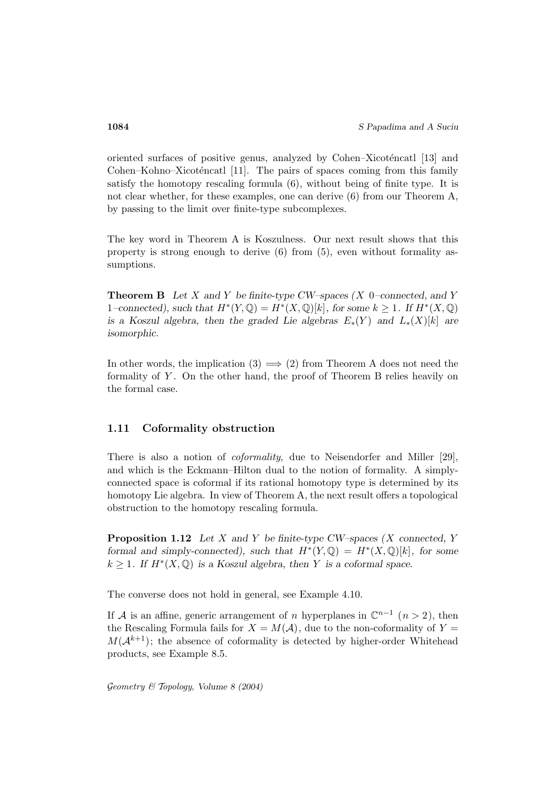oriented surfaces of positive genus, analyzed by Cohen–Xicoténcatl [13] and Cohen–Kohno–Xicoténcatl  $[11]$ . The pairs of spaces coming from this family satisfy the homotopy rescaling formula (6), without being of finite type. It is not clear whether, for these examples, one can derive (6) from our Theorem A, by passing to the limit over finite-type subcomplexes.

The key word in Theorem A is Koszulness. Our next result shows that this property is strong enough to derive (6) from (5), even without formality assumptions.

**Theorem B** *Let* X *and* Y *be finite-type CW–spaces (*X 0*–connected, and* Y 1–connected), such that  $H^*(Y, \mathbb{Q}) = H^*(X, \mathbb{Q})[k]$ , for some  $k \geq 1$ . If  $H^*(X, \mathbb{Q})$ *is a Koszul algebra, then the graded Lie algebras*  $E_*(Y)$  *and*  $L_*(X)[k]$  *are isomorphic.*

In other words, the implication  $(3) \implies (2)$  from Theorem A does not need the formality of  $Y$ . On the other hand, the proof of Theorem B relies heavily on the formal case.

### **1.11 Coformality obstruction**

There is also a notion of *coformality*, due to Neisendorfer and Miller [29], and which is the Eckmann–Hilton dual to the notion of formality. A simplyconnected space is coformal if its rational homotopy type is determined by its homotopy Lie algebra. In view of Theorem A, the next result offers a topological obstruction to the homotopy rescaling formula.

**Proposition 1.12** *Let* X *and* Y *be finite-type CW–spaces (*X *connected,* Y *formal and simply-connected), such that*  $H^*(Y, \mathbb{Q}) = H^*(X, \mathbb{Q})[k]$ *, for some*  $k \geq 1$ . If  $H^*(X, \mathbb{Q})$  is a Koszul algebra, then Y is a coformal space.

The converse does not hold in general, see Example 4.10.

If A is an affine, generic arrangement of n hyperplanes in  $\mathbb{C}^{n-1}$  (n > 2), then the Rescaling Formula fails for  $X = M(\mathcal{A})$ , due to the non-coformality of  $Y =$  $M(\mathcal{A}^{k+1})$ ; the absence of coformality is detected by higher-order Whitehead products, see Example 8.5.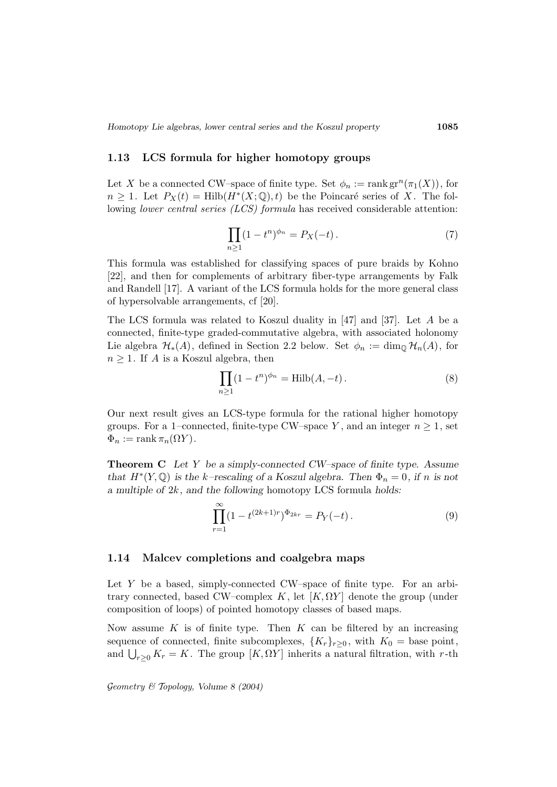#### **1.13 LCS formula for higher homotopy groups**

Let X be a connected CW–space of finite type. Set  $\phi_n := \text{rank } \text{gr}^n(\pi_1(X))$ , for  $n \geq 1$ . Let  $P_X(t) = Hilb(H^*(X; \mathbb{Q}), t)$  be the Poincaré series of X. The following *lower central series (LCS)* formula has received considerable attention:

$$
\prod_{n\geq 1} (1-t^n)^{\phi_n} = P_X(-t).
$$
 (7)

This formula was established for classifying spaces of pure braids by Kohno [22], and then for complements of arbitrary fiber-type arrangements by Falk and Randell [17]. A variant of the LCS formula holds for the more general class of hypersolvable arrangements, cf [20].

The LCS formula was related to Koszul duality in [47] and [37]. Let A be a connected, finite-type graded-commutative algebra, with associated holonomy Lie algebra  $\mathcal{H}_*(A)$ , defined in Section 2.2 below. Set  $\phi_n := \dim_{\mathbb{Q}} \mathcal{H}_n(A)$ , for  $n \geq 1$ . If A is a Koszul algebra, then

$$
\prod_{n\geq 1} (1 - t^n)^{\phi_n} = \text{Hilb}(A, -t).
$$
 (8)

Our next result gives an LCS-type formula for the rational higher homotopy groups. For a 1–connected, finite-type CW–space Y, and an integer  $n \geq 1$ , set  $\Phi_n := \text{rank } \pi_n(\Omega Y).$ 

**Theorem C** *Let* Y *be a simply-connected CW–space of finite type. Assume that*  $H^*(Y, \mathbb{Q})$  *is the k–rescaling of a Koszul algebra. Then*  $\Phi_n = 0$ *, if n is not a multiple of* 2k*, and the following* homotopy LCS formula *holds:*

$$
\prod_{r=1}^{\infty} (1 - t^{(2k+1)r})^{\Phi_{2kr}} = P_Y(-t).
$$
\n(9)

#### **1.14 Malcev completions and coalgebra maps**

Let Y be a based, simply-connected CW–space of finite type. For an arbitrary connected, based CW–complex K, let  $[K, \Omega Y]$  denote the group (under composition of loops) of pointed homotopy classes of based maps.

Now assume  $K$  is of finite type. Then  $K$  can be filtered by an increasing sequence of connected, finite subcomplexes,  $\{K_r\}_{r\geq 0}$ , with  $K_0 = \text{base point}$ , and  $\bigcup_{r\geq 0} K_r = K$ . The group  $[K, \Omega Y]$  inherits a natural filtration, with r-th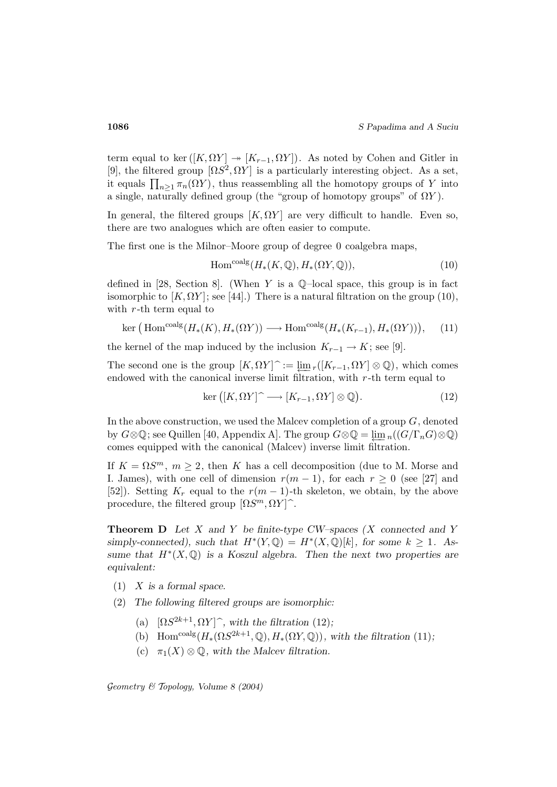term equal to ker  $([K, \Omega Y] \rightarrow [K_{r-1}, \Omega Y])$ . As noted by Cohen and Gitler in [9], the filtered group  $[\Omega S^2, \Omega Y]$  is a particularly interesting object. As a set, it equals  $\prod_{n\geq 1} \pi_n(\Omega Y)$ , thus reassembling all the homotopy groups of Y into a single, naturally defined group (the "group of homotopy groups" of  $\Omega Y$ ).

In general, the filtered groups  $[K, \Omega Y]$  are very difficult to handle. Even so, there are two analogues which are often easier to compute.

The first one is the Milnor–Moore group of degree 0 coalgebra maps,

$$
\text{Hom}^{\text{coalg}}(H_*(K, \mathbb{Q}), H_*(\Omega Y, \mathbb{Q})),\tag{10}
$$

defined in [28, Section 8]. (When Y is a  $\mathbb{Q}$ -local space, this group is in fact isomorphic to  $[K, \Omega Y]$ ; see [44].) There is a natural filtration on the group (10), with  $r$ -th term equal to

$$
\ker\left(\operatorname{Hom}^{\operatorname{coalg}}(H_*(K), H_*(\Omega Y))\longrightarrow \operatorname{Hom}^{\operatorname{coalg}}(H_*(K_{r-1}), H_*(\Omega Y))\right),\tag{11}
$$

the kernel of the map induced by the inclusion  $K_{r-1} \to K$ ; see [9].

The second one is the group  $[K, \Omega Y]$  :=  $\varliminf_{r}([K_{r-1}, \Omega Y] \otimes \mathbb{Q})$ , which comes endowed with the canonical inverse limit filtration, with  $r$ -th term equal to

$$
\ker ([K, \Omega Y] \,\hat{\mathbb{I}} \longrightarrow [K_{r-1}, \Omega Y] \otimes \mathbb{Q}). \tag{12}
$$

In the above construction, we used the Malcev completion of a group  $G$ , denoted by  $G\otimes\mathbb{Q}$ ; see Quillen [40, Appendix A]. The group  $G\otimes\mathbb{Q}=\lim_{n}((G/\Gamma_nG)\otimes\mathbb{Q})$ comes equipped with the canonical (Malcev) inverse limit filtration.

If  $K = \Omega S^m$ ,  $m \ge 2$ , then K has a cell decomposition (due to M. Morse and I. James), with one cell of dimension  $r(m-1)$ , for each  $r \geq 0$  (see [27] and [52]). Setting  $K_r$  equal to the  $r(m-1)$ -th skeleton, we obtain, by the above procedure, the filtered group  $[\Omega S^m, \Omega Y]^{\hat{}}$ .

**Theorem D** *Let* X *and* Y *be finite-type CW–spaces (*X *connected and* Y  $simplify-connected$ *), such that*  $H^*(Y, \mathbb{Q}) = H^*(X, \mathbb{Q})[k]$ *, for some*  $k \geq 1$ *. Assume that*  $H^*(X, \mathbb{Q})$  *is a Koszul algebra. Then the next two properties are equivalent:*

- (1) X *is a formal space.*
- (2) *The following filtered groups are isomorphic:*
	- (a)  $[\Omega S^{2k+1}, \Omega Y]$ <sup> $\hat{}$ </sup>, with the filtration (12);
	- (b) Hom<sup>coalg</sup>( $H_*(\Omega S^{2k+1}, \mathbb{Q}), H_*(\Omega Y, \mathbb{Q})$ *)*, with the filtration (11);
	- (c)  $\pi_1(X) \otimes \mathbb{Q}$ , with the Malcev filtration.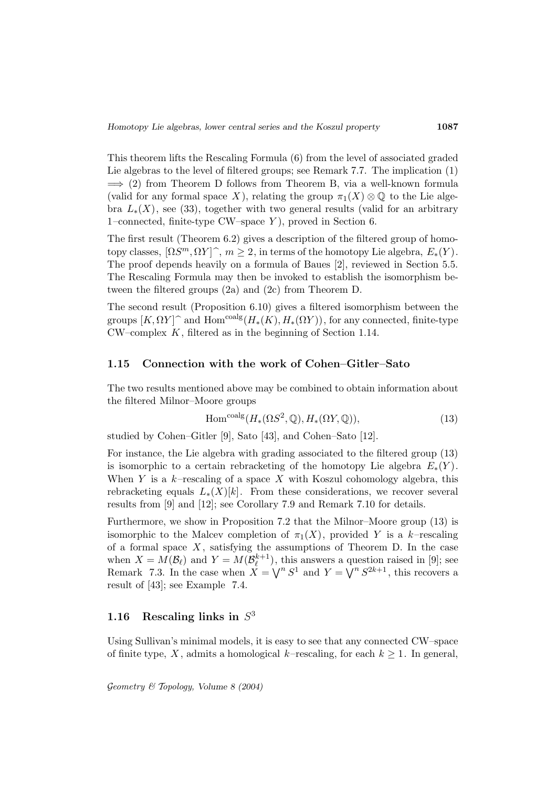This theorem lifts the Rescaling Formula (6) from the level of associated graded Lie algebras to the level of filtered groups; see Remark 7.7. The implication (1)  $\implies$  (2) from Theorem D follows from Theorem B, via a well-known formula (valid for any formal space X), relating the group  $\pi_1(X) \otimes \mathbb{Q}$  to the Lie algebra  $L_*(X)$ , see (33), together with two general results (valid for an arbitrary 1–connected, finite-type CW–space Y ), proved in Section 6.

The first result (Theorem 6.2) gives a description of the filtered group of homotopy classes,  $[\Omega S^m, \Omega Y]$ <sup> $\hat{h}, m \geq 2$ , in terms of the homotopy Lie algebra,  $E_*(Y)$ .</sup> The proof depends heavily on a formula of Baues [2], reviewed in Section 5.5. The Rescaling Formula may then be invoked to establish the isomorphism between the filtered groups (2a) and (2c) from Theorem D.

The second result (Proposition 6.10) gives a filtered isomorphism between the groups  $[K, \Omega Y]$ <sup> $\cap$ </sup> and Hom<sup>coalg</sup> $(H_*(K), H_*(\Omega Y))$ , for any connected, finite-type  $CW$ -complex  $K$ , filtered as in the beginning of Section 1.14.

#### **1.15 Connection with the work of Cohen–Gitler–Sato**

The two results mentioned above may be combined to obtain information about the filtered Milnor–Moore groups

$$
\text{Hom}^{\text{coalg}}(H_*(\Omega S^2, \mathbb{Q}), H_*(\Omega Y, \mathbb{Q})),\tag{13}
$$

studied by Cohen–Gitler [9], Sato [43], and Cohen–Sato [12].

For instance, the Lie algebra with grading associated to the filtered group (13) is isomorphic to a certain rebracketing of the homotopy Lie algebra  $E_*(Y)$ . When Y is a  $k$ -rescaling of a space X with Koszul cohomology algebra, this rebracketing equals  $L_*(X)[k]$ . From these considerations, we recover several results from [9] and [12]; see Corollary 7.9 and Remark 7.10 for details.

Furthermore, we show in Proposition 7.2 that the Milnor–Moore group (13) is isomorphic to the Malcev completion of  $\pi_1(X)$ , provided Y is a k–rescaling of a formal space  $X$ , satisfying the assumptions of Theorem D. In the case when  $X = M(\mathcal{B}_{\ell})$  and  $Y = M(\mathcal{B}_{\ell}^{k+1})$ , this answers a question raised in [9]; see Remark 7.3. In the case when  $X = \bigvee^n S^1$  and  $Y = \bigvee^n S^{2k+1}$ , this recovers a result of [43]; see Example 7.4.

# **1.16** Rescaling links in  $S<sup>3</sup>$

Using Sullivan's minimal models, it is easy to see that any connected CW–space of finite type, X, admits a homological k–rescaling, for each  $k \geq 1$ . In general,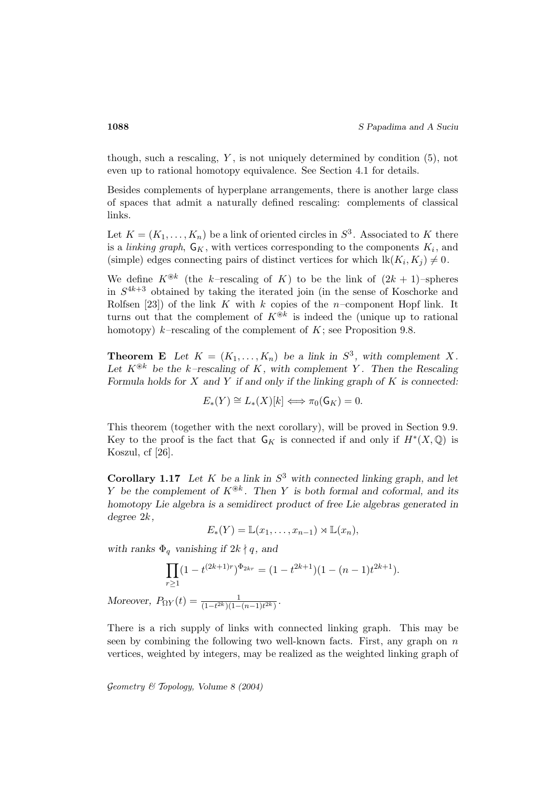though, such a rescaling,  $Y$ , is not uniquely determined by condition  $(5)$ , not even up to rational homotopy equivalence. See Section 4.1 for details.

Besides complements of hyperplane arrangements, there is another large class of spaces that admit a naturally defined rescaling: complements of classical links.

Let  $K = (K_1, \ldots, K_n)$  be a link of oriented circles in  $S^3$ . Associated to K there is a *linking graph*,  $\mathsf{G}_K$ , with vertices corresponding to the components  $K_i$ , and (simple) edges connecting pairs of distinct vertices for which  $lk(K_i, K_j) \neq 0$ .

We define  $K^{\circledast k}$  (the k–rescaling of K) to be the link of  $(2k+1)$ –spheres in  $S^{4k+3}$  obtained by taking the iterated join (in the sense of Koschorke and Rolfsen [23]) of the link K with k copies of the n-component Hopf link. It turns out that the complement of  $K^{\otimes k}$  is indeed the (unique up to rational homotopy)  $k$ –rescaling of the complement of  $K$ ; see Proposition 9.8.

**Theorem E** Let  $K = (K_1, \ldots, K_n)$  be a link in  $S^3$ , with complement X. Let  $K^{\circledast k}$  be the k-rescaling of K, with complement Y. Then the Rescaling *Formula holds for* X *and* Y *if and only if the linking graph of* K *is connected:*

$$
E_*(Y) \cong L_*(X)[k] \Longleftrightarrow \pi_0(\mathsf{G}_K) = 0.
$$

This theorem (together with the next corollary), will be proved in Section 9.9. Key to the proof is the fact that  $\mathsf{G}_K$  is connected if and only if  $H^*(X,\mathbb{Q})$  is Koszul, cf [26].

**Corollary 1.17** Let K be a link in  $S^3$  with connected linking graph, and let Y be the complement of  $K^{\circledast k}$ . Then Y is both formal and coformal, and its *homotopy Lie algebra is a semidirect product of free Lie algebras generated in degree* 2k*,*

$$
E_*(Y) = \mathbb{L}(x_1,\ldots,x_{n-1}) \rtimes \mathbb{L}(x_n),
$$

*with ranks*  $\Phi_q$  *vanishing if*  $2k \nmid q$ *, and* 

$$
\prod_{r\geq 1} (1-t^{(2k+1)r})^{\Phi_{2kr}} = (1-t^{2k+1})(1-(n-1)t^{2k+1}).
$$

*Moreover,*  $P_{\Omega Y}(t) = \frac{1}{(1 - t^{2k})(1 - (n-1)t^{2k})}$ .

There is a rich supply of links with connected linking graph. This may be seen by combining the following two well-known facts. First, any graph on  $n$ vertices, weighted by integers, may be realized as the weighted linking graph of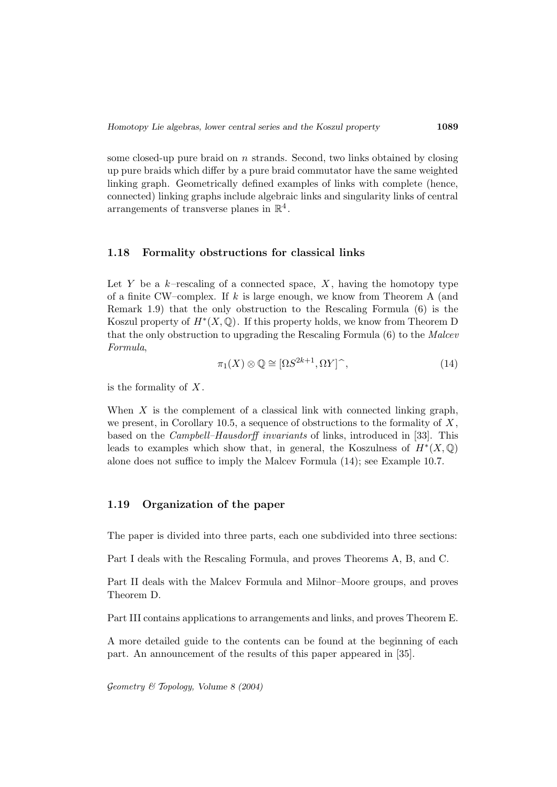some closed-up pure braid on  $n$  strands. Second, two links obtained by closing up pure braids which differ by a pure braid commutator have the same weighted linking graph. Geometrically defined examples of links with complete (hence, connected) linking graphs include algebraic links and singularity links of central arrangements of transverse planes in  $\mathbb{R}^4$ .

### **1.18 Formality obstructions for classical links**

Let Y be a  $k$ -rescaling of a connected space, X, having the homotopy type of a finite CW–complex. If k is large enough, we know from Theorem A (and Remark 1.9) that the only obstruction to the Rescaling Formula (6) is the Koszul property of  $H^*(X, \mathbb{Q})$ . If this property holds, we know from Theorem D that the only obstruction to upgrading the Rescaling Formula (6) to the Malcev Formula,

$$
\pi_1(X) \otimes \mathbb{Q} \cong [\Omega S^{2k+1}, \Omega Y]^\frown,
$$
\n(14)

is the formality of  $X$ .

When  $X$  is the complement of a classical link with connected linking graph, we present, in Corollary 10.5, a sequence of obstructions to the formality of  $X$ , based on the Campbell–Hausdorff invariants of links, introduced in [33]. This leads to examples which show that, in general, the Koszulness of  $H^*(X, \mathbb{Q})$ alone does not suffice to imply the Malcev Formula (14); see Example 10.7.

### **1.19 Organization of the paper**

The paper is divided into three parts, each one subdivided into three sections:

Part I deals with the Rescaling Formula, and proves Theorems A, B, and C.

Part II deals with the Malcev Formula and Milnor–Moore groups, and proves Theorem D.

Part III contains applications to arrangements and links, and proves Theorem E.

A more detailed guide to the contents can be found at the beginning of each part. An announcement of the results of this paper appeared in [35].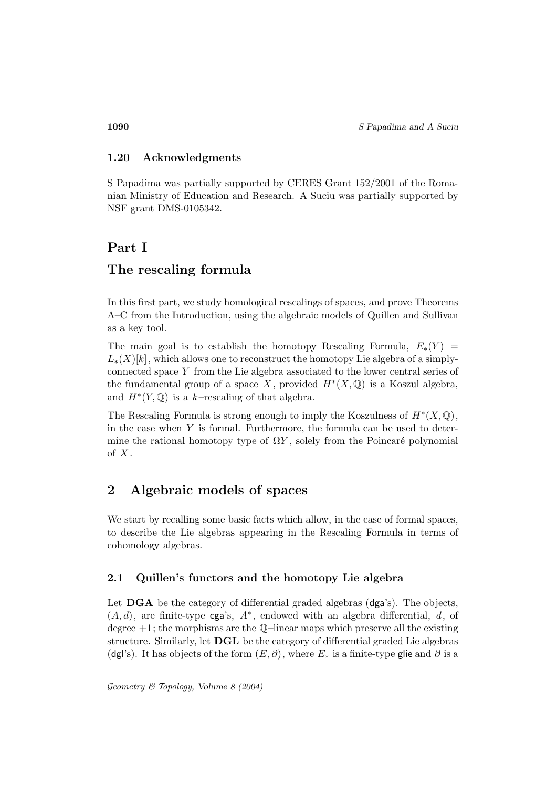**1090** *S Papadima and A Suciu*

## **1.20 Acknowledgments**

S Papadima was partially supported by CERES Grant 152/2001 of the Romanian Ministry of Education and Research. A Suciu was partially supported by NSF grant DMS-0105342.

# **Part I**

# **The rescaling formula**

In this first part, we study homological rescalings of spaces, and prove Theorems A–C from the Introduction, using the algebraic models of Quillen and Sullivan as a key tool.

The main goal is to establish the homotopy Rescaling Formula,  $E_*(Y) =$  $L_*(X)[k]$ , which allows one to reconstruct the homotopy Lie algebra of a simplyconnected space Y from the Lie algebra associated to the lower central series of the fundamental group of a space X, provided  $H^*(X,\mathbb{Q})$  is a Koszul algebra, and  $H^*(Y, \mathbb{Q})$  is a k–rescaling of that algebra.

The Rescaling Formula is strong enough to imply the Koszulness of  $H^*(X, \mathbb{Q})$ , in the case when  $Y$  is formal. Furthermore, the formula can be used to determine the rational homotopy type of  $\Omega Y$ , solely from the Poincaré polynomial of  $X$ .

# **2 Algebraic models of spaces**

We start by recalling some basic facts which allow, in the case of formal spaces, to describe the Lie algebras appearing in the Rescaling Formula in terms of cohomology algebras.

## **2.1 Quillen's functors and the homotopy Lie algebra**

Let **DGA** be the category of differential graded algebras (dga's). The objects,  $(A, d)$ , are finite-type cga's,  $A^*$ , endowed with an algebra differential, d, of degree  $+1$ ; the morphisms are the Q-linear maps which preserve all the existing structure. Similarly, let **DGL** be the category of differential graded Lie algebras (dgl's). It has objects of the form  $(E, \partial)$ , where  $E_*$  is a finite-type glie and  $\partial$  is a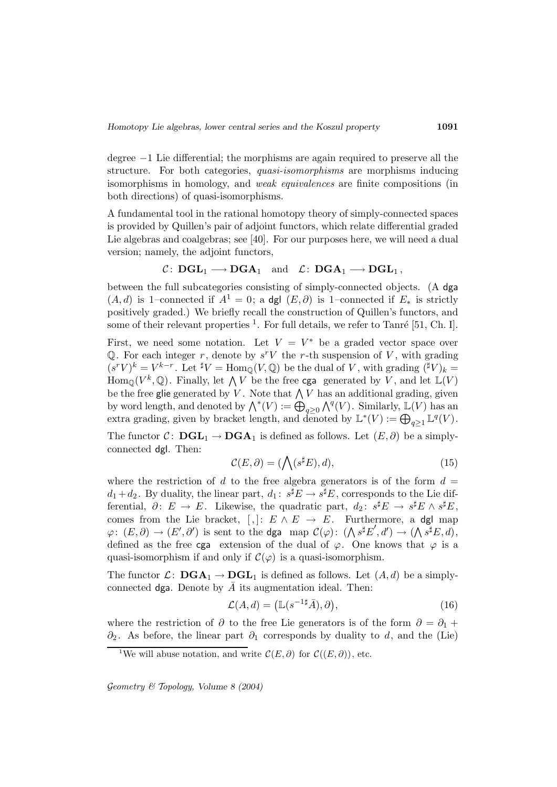degree −1 Lie differential; the morphisms are again required to preserve all the structure. For both categories, *quasi-isomorphisms* are morphisms inducing isomorphisms in homology, and weak equivalences are finite compositions (in both directions) of quasi-isomorphisms.

A fundamental tool in the rational homotopy theory of simply-connected spaces is provided by Quillen's pair of adjoint functors, which relate differential graded Lie algebras and coalgebras; see [40]. For our purposes here, we will need a dual version; namely, the adjoint functors,

$$
\mathcal{C}\colon \mathbf{DGL}_1\longrightarrow \mathbf{DGA}_1\quad \text{and}\quad \mathcal{L}\colon \mathbf{DGA}_1\longrightarrow \mathbf{DGL}_1\,,
$$

between the full subcategories consisting of simply-connected objects. (A dga  $(A, d)$  is 1–connected if  $A<sup>1</sup> = 0$ ; a dgl  $(E, \partial)$  is 1–connected if  $E_*$  is strictly positively graded.) We briefly recall the construction of Quillen's functors, and some of their relevant properties  $<sup>1</sup>$ . For full details, we refer to Tanré [51, Ch. I].</sup>

First, we need some notation. Let  $V = V^*$  be a graded vector space over Q. For each integer r, denote by  $s^rV$  the r-th suspension of V, with grading  $(s^r V)^k = V^{k-r}$ . Let  $^{\sharp} V = \text{Hom}_{\mathbb{Q}}(V, \mathbb{Q})$  be the dual of V, with grading  $({}^{\sharp}V)_k =$  $\text{Hom}_{\mathbb{Q}}(V^k,\mathbb{Q})$ . Finally, let  $\bigwedge V$  be the free cga generated by V, and let  $\mathbb{L}(V)$ be the free glie generated by  $V.$  Note that  $\bigwedge V$  has an additional grading, given by word length, and denoted by  $\bigwedge^*(V) := \bigoplus_{q \geq 0} \bigwedge^q(V)$ . Similarly,  $\mathbb{L}(V)$  has an extra grading, given by bracket length, and denoted by  $\mathbb{L}^*(V) := \bigoplus_{q \geq 1} \mathbb{L}^q(V)$ .

The functor  $C: \textbf{DGL}_1 \to \textbf{DGA}_1$  is defined as follows. Let  $(E, \partial)$  be a simplyconnected dgl. Then:

$$
\mathcal{C}(E,\partial) = (\bigwedge (s^{\sharp}E),d),\tag{15}
$$

where the restriction of d to the free algebra generators is of the form  $d =$  $d_1 + d_2$ . By duality, the linear part,  $d_1: s^{\sharp}E \to s^{\sharp}E$ , corresponds to the Lie differential,  $\partial: E \to E$ . Likewise, the quadratic part,  $d_2: s^{\sharp}E \to s^{\sharp}E \wedge s^{\sharp}E$ , comes from the Lie bracket,  $[, ]: E \wedge E \rightarrow E$ . Furthermore, a dgl map  $\varphi\colon (E,\partial)\to (E',\partial')$  is sent to the dga map  $\mathcal{C}(\varphi)\colon (\bigwedge s^{\sharp}E',d')\to (\bigwedge s^{\sharp}E,d),$ defined as the free cga extension of the dual of  $\varphi$ . One knows that  $\varphi$  is a quasi-isomorphism if and only if  $\mathcal{C}(\varphi)$  is a quasi-isomorphism.

The functor  $\mathcal{L}: \textbf{DGA}_1 \to \textbf{DGL}_1$  is defined as follows. Let  $(A, d)$  be a simplyconnected dga. Denote by  $\overline{A}$  its augmentation ideal. Then:

$$
\mathcal{L}(A,d) = \left(\mathbb{L}(s^{-1\sharp}\bar{A}),\partial\right),\tag{16}
$$

where the restriction of  $\partial$  to the free Lie generators is of the form  $\partial = \partial_1 +$  $\partial_2$ . As before, the linear part  $\partial_1$  corresponds by duality to d, and the (Lie)

<sup>&</sup>lt;sup>1</sup>We will abuse notation, and write  $\mathcal{C}(E, \partial)$  for  $\mathcal{C}((E, \partial))$ , etc.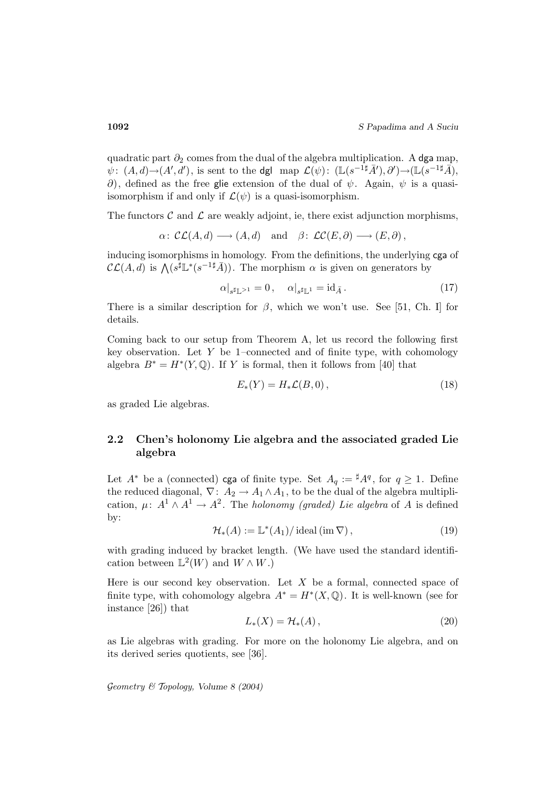quadratic part  $\partial_2$  comes from the dual of the algebra multiplication. A dga map,  $\psi\colon (A,d){\rightarrow}(A',d'),$  is sent to the dgl map  $\mathcal{L}(\psi)\colon (\mathbb{L}(s^{-1\sharp}\bar{A}'),\partial'){\rightarrow}(\mathbb{L}(s^{-1\sharp}\bar{A}),$  $\partial$ ), defined as the free glie extension of the dual of  $\psi$ . Again,  $\psi$  is a quasiisomorphism if and only if  $\mathcal{L}(\psi)$  is a quasi-isomorphism.

The functors  $\mathcal C$  and  $\mathcal L$  are weakly adjoint, ie, there exist adjunction morphisms,

$$
\alpha\colon\mathcal{CL}(A,d)\longrightarrow(A,d)\quad\text{and}\quad\beta\colon\mathcal{LC}(E,\partial)\longrightarrow(E,\partial),
$$

inducing isomorphisms in homology. From the definitions, the underlying cga of  $\mathcal{CL}(A, d)$  is  $\bigwedge (s^{\sharp} \mathbb{L}^*(s^{-1\sharp} \bar{A}))$ . The morphism  $\alpha$  is given on generators by

$$
\alpha|_{s^{\sharp}\mathbb{L}^{>1}} = 0, \quad \alpha|_{s^{\sharp}\mathbb{L}^{1}} = \mathrm{id}_{\bar{A}}.
$$
 (17)

There is a similar description for  $\beta$ , which we won't use. See [51, Ch. I] for details.

Coming back to our setup from Theorem A, let us record the following first key observation. Let  $Y$  be 1–connected and of finite type, with cohomology algebra  $B^* = H^*(Y, \mathbb{Q})$ . If Y is formal, then it follows from [40] that

$$
E_*(Y) = H_*\mathcal{L}(B,0),\tag{18}
$$

as graded Lie algebras.

## **2.2 Chen's holonomy Lie algebra and the associated graded Lie algebra**

Let  $A^*$  be a (connected) **cga** of finite type. Set  $A_q := {}^{\sharp}A^q$ , for  $q \geq 1$ . Define the reduced diagonal,  $\nabla: A_2 \to A_1 \wedge A_1$ , to be the dual of the algebra multiplication,  $\mu: A^1 \wedge A^1 \rightarrow A^2$ . The *holonomy (graded) Lie algebra* of A is defined by:

$$
\mathcal{H}_{*}(A) := \mathbb{L}^{*}(A_{1}) / \operatorname{ideal}\left(\operatorname{im} \nabla\right),\tag{19}
$$

with grading induced by bracket length. (We have used the standard identification between  $\mathbb{L}^2(W)$  and  $W \wedge W$ .)

Here is our second key observation. Let  $X$  be a formal, connected space of finite type, with cohomology algebra  $A^* = H^*(X, \mathbb{Q})$ . It is well-known (see for instance [26]) that

$$
L_*(X) = \mathcal{H}_*(A),\tag{20}
$$

as Lie algebras with grading. For more on the holonomy Lie algebra, and on its derived series quotients, see [36].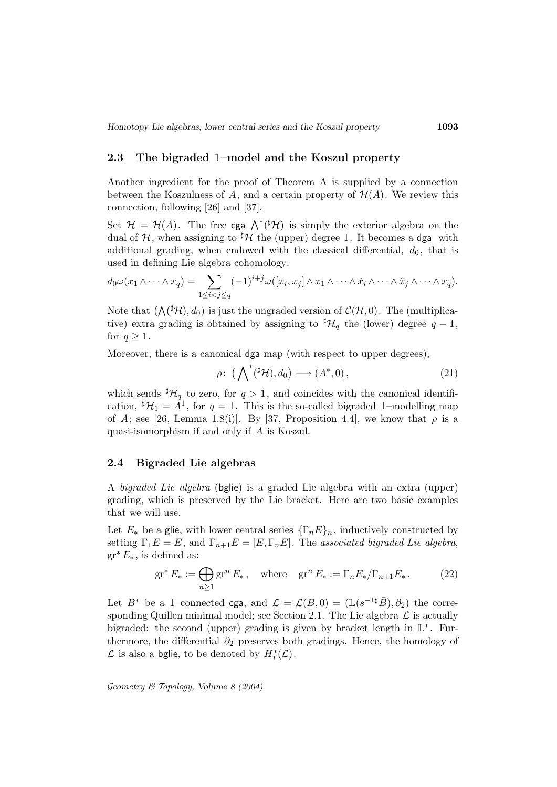### **2.3 The bigraded** 1**–model and the Koszul property**

Another ingredient for the proof of Theorem A is supplied by a connection between the Koszulness of A, and a certain property of  $\mathcal{H}(A)$ . We review this connection, following [26] and [37].

Set  $\mathcal{H} = \mathcal{H}(A)$ . The free cga  $\bigwedge^* ({}^{\sharp} \mathcal{H})$  is simply the exterior algebra on the dual of H, when assigning to  ${}^{\sharp}H$  the (upper) degree 1. It becomes a dga with additional grading, when endowed with the classical differential,  $d_0$ , that is used in defining Lie algebra cohomology:

$$
d_0\omega(x_1\wedge\cdots\wedge x_q)=\sum_{1\leq i
$$

Note that  $(\bigwedge({}^{\sharp}\mathcal{H}),d_0)$  is just the ungraded version of  $\mathcal{C}(\mathcal{H},0)$ . The (multiplicative) extra grading is obtained by assigning to  $^{\sharp}H_q$  the (lower) degree  $q-1$ , for  $q \geq 1$ .

Moreover, there is a canonical dga map (with respect to upper degrees),

$$
\rho\colon \left(\bigwedge\nolimits^*(\nolimits^{\sharp}\mathcal{H}), d_0\right) \longrightarrow \left(A^*, 0\right),\tag{21}
$$

which sends  $^{\sharp}H_q$  to zero, for  $q>1$ , and coincides with the canonical identification,  $^{\sharp}\mathcal{H}_1 = A^1$ , for  $q = 1$ . This is the so-called bigraded 1-modelling map of A; see [26, Lemma 1.8(i)]. By [37, Proposition 4.4], we know that  $\rho$  is a quasi-isomorphism if and only if A is Koszul.

#### **2.4 Bigraded Lie algebras**

A bigraded Lie algebra (bglie) is a graded Lie algebra with an extra (upper) grading, which is preserved by the Lie bracket. Here are two basic examples that we will use.

Let  $E_*$  be a glie, with lower central series  $\{\Gamma_n E\}_n$ , inductively constructed by setting  $\Gamma_1 E = E$ , and  $\Gamma_{n+1} E = [E, \Gamma_n E]$ . The associated bigraded Lie algebra,  $gr^*E_*$ , is defined as:

$$
\operatorname{gr}^* E_* := \bigoplus_{n \ge 1} \operatorname{gr}^n E_*, \quad \text{where} \quad \operatorname{gr}^n E_* := \Gamma_n E_* / \Gamma_{n+1} E_* \,. \tag{22}
$$

Let  $B^*$  be a 1–connected cga, and  $\mathcal{L} = \mathcal{L}(B, 0) = (\mathbb{L}(s^{-1\sharp}\bar{B}), \partial_2)$  the corresponding Quillen minimal model; see Section 2.1. The Lie algebra  $\mathcal L$  is actually bigraded: the second (upper) grading is given by bracket length in L<sup>∗</sup> . Furthermore, the differential  $\partial_2$  preserves both gradings. Hence, the homology of  $\mathcal L$  is also a bglie, to be denoted by  $H_*^*(\mathcal L)$ .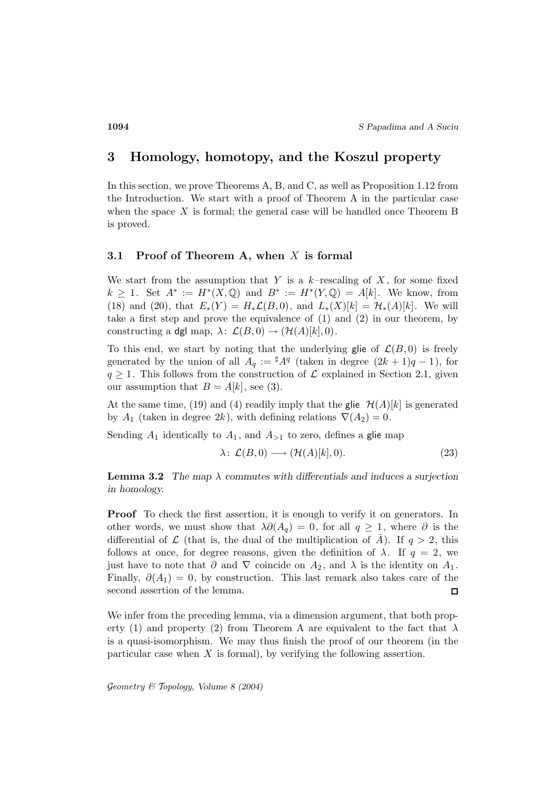# **3 Homology, homotopy, and the Koszul property**

In this section, we prove Theorems A, B, and C, as well as Proposition 1.12 from the Introduction. We start with a proof of Theorem A in the particular case when the space  $X$  is formal; the general case will be handled once Theorem B is proved.

#### **3.1 Proof of Theorem A, when** X **is formal**

We start from the assumption that Y is a  $k$ -rescaling of X, for some fixed  $k \geq 1$ . Set  $A^* := H^*(X, \mathbb{Q})$  and  $B^* := H^*(Y, \mathbb{Q}) = A[k]$ . We know, from (18) and (20), that  $E_*(Y) = H_*\mathcal{L}(B,0)$ , and  $L_*(X)[k] = \mathcal{H}_*(A)[k]$ . We will take a first step and prove the equivalence of (1) and (2) in our theorem, by constructing a dgl map,  $\lambda: \mathcal{L}(B,0) \to (\mathcal{H}(A)[k],0)$ .

To this end, we start by noting that the underlying glie of  $\mathcal{L}(B, 0)$  is freely generated by the union of all  $A_q := {}^{\sharp}A^q$  (taken in degree  $(2k+1)q-1$ ), for  $q \geq 1$ . This follows from the construction of  $\mathcal L$  explained in Section 2.1, given our assumption that  $B = A[k]$ , see (3).

At the same time, (19) and (4) readily imply that the glie  $\mathcal{H}(A)[k]$  is generated by  $A_1$  (taken in degree  $2k$ ), with defining relations  $\nabla(A_2) = 0$ .

Sending  $A_1$  identically to  $A_1$ , and  $A_{>1}$  to zero, defines a glie map

$$
\lambda \colon \mathcal{L}(B,0) \longrightarrow (\mathcal{H}(A)[k],0). \tag{23}
$$

**Lemma 3.2** *The map*  $\lambda$  *commutes with differentials and induces a surjection in homology.*

**Proof** To check the first assertion, it is enough to verify it on generators. In other words, we must show that  $\lambda \partial(A_q) = 0$ , for all  $q \geq 1$ , where  $\partial$  is the differential of  $\mathcal L$  (that is, the dual of the multiplication of A). If  $q > 2$ , this follows at once, for degree reasons, given the definition of  $\lambda$ . If  $q = 2$ , we just have to note that  $\partial$  and  $\nabla$  coincide on  $A_2$ , and  $\lambda$  is the identity on  $A_1$ . Finally,  $\partial(A_1) = 0$ , by construction. This last remark also takes care of the second assertion of the lemma.  $\Box$ 

We infer from the preceding lemma, via a dimension argument, that both property (1) and property (2) from Theorem A are equivalent to the fact that  $\lambda$ is a quasi-isomorphism. We may thus finish the proof of our theorem (in the particular case when  $X$  is formal), by verifying the following assertion.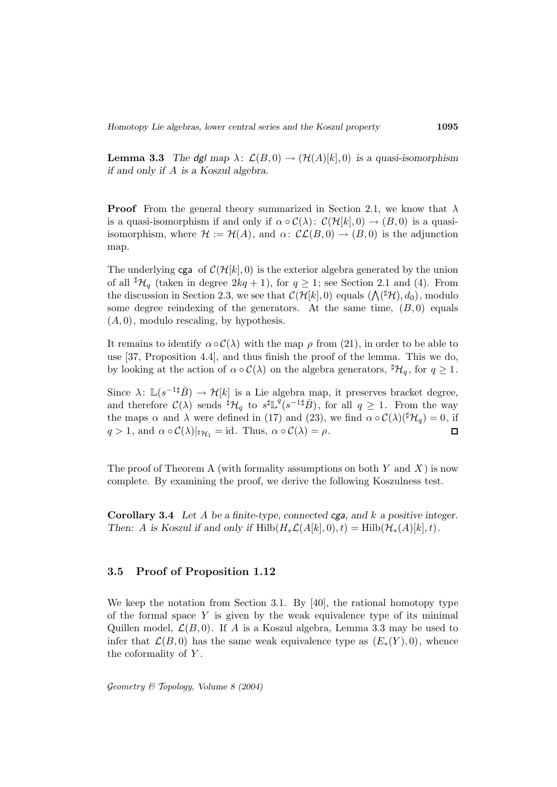**Lemma 3.3** *The dgl map*  $\lambda: \mathcal{L}(B,0) \to (\mathcal{H}(A)[k],0)$  *is a quasi-isomorphism if and only if* A *is a Koszul algebra.*

**Proof** From the general theory summarized in Section 2.1, we know that  $\lambda$ is a quasi-isomorphism if and only if  $\alpha \circ C(\lambda)$ :  $C(\mathcal{H}[k], 0) \rightarrow (B, 0)$  is a quasiisomorphism, where  $\mathcal{H} := \mathcal{H}(A)$ , and  $\alpha: \mathcal{CL}(B, 0) \to (B, 0)$  is the adjunction map.

The underlying cga of  $\mathcal{C}(\mathcal{H}[k], 0)$  is the exterior algebra generated by the union of all  ${}^{\sharp} \mathcal{H}_q$  (taken in degree  $2kq+1$ ), for  $q \geq 1$ ; see Section 2.1 and (4). From the discussion in Section 2.3, we see that  $\mathcal{C}(\mathcal{H}[k],0)$  equals  $(\bigwedge({}^\sharp\mathcal{H}),d_0)$ , modulo some degree reindexing of the generators. At the same time,  $(B, 0)$  equals  $(A, 0)$ , modulo rescaling, by hypothesis.

It remains to identify  $\alpha \circ \mathcal{C}(\lambda)$  with the map  $\rho$  from (21), in order to be able to use [37, Proposition 4.4], and thus finish the proof of the lemma. This we do, by looking at the action of  $\alpha \circ C(\lambda)$  on the algebra generators,  $^{\sharp} \mathcal{H}_q$ , for  $q \geq 1$ .

Since  $\lambda: \mathbb{L}(s^{-1\sharp}\overline{B}) \to \mathcal{H}[k]$  is a Lie algebra map, it preserves bracket degree, and therefore  $\mathcal{C}(\lambda)$  sends  $\sharp \mathcal{H}_q$  to  $s \sharp \mathbb{L}^q(s^{-1} \sharp \bar{B})$ , for all  $q \geq 1$ . From the way the maps  $\alpha$  and  $\lambda$  were defined in (17) and (23), we find  $\alpha \circ C(\lambda)({}^{\sharp}\mathcal{H}_{q})=0$ , if  $q > 1$ , and  $\alpha \circ C(\lambda)|_{\sharp\mathcal{H}_1} = \text{id}$ . Thus,  $\alpha \circ C(\lambda) = \rho$ .  $\Box$ 

The proof of Theorem A (with formality assumptions on both  $Y$  and  $X$ ) is now complete. By examining the proof, we derive the following Koszulness test.

**Corollary 3.4** *Let* A *be a finite-type, connected* cga*, and* k *a positive integer. Then:* A is Koszul if and only if  $Hilb(H_*\mathcal{L}(A[k], 0), t) = Hilb(\mathcal{H}_*(A)[k], t)$ .

### **3.5 Proof of Proposition 1.12**

We keep the notation from Section 3.1. By [40], the rational homotopy type of the formal space  $Y$  is given by the weak equivalence type of its minimal Quillen model,  $\mathcal{L}(B, 0)$ . If A is a Koszul algebra, Lemma 3.3 may be used to infer that  $\mathcal{L}(B,0)$  has the same weak equivalence type as  $(E_*(Y),0)$ , whence the coformality of  $Y$ .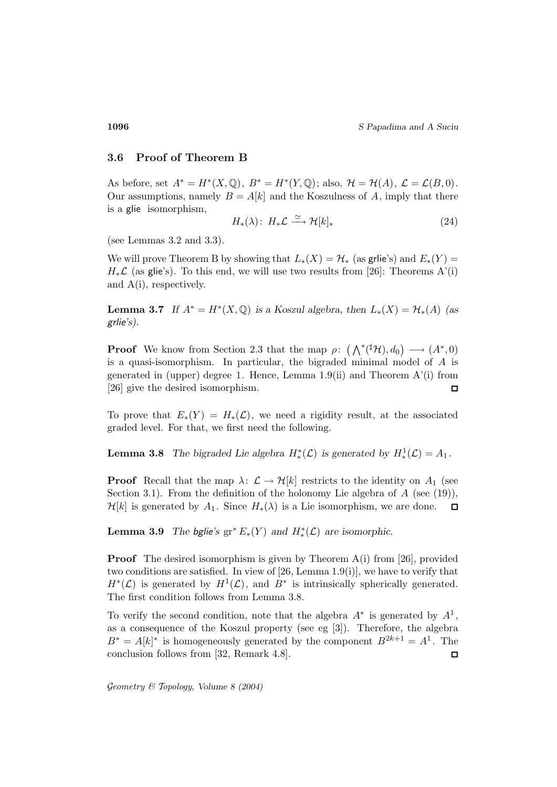**1096** *S Papadima and A Suciu*

### **3.6 Proof of Theorem B**

As before, set  $A^* = H^*(X, \mathbb{Q})$ ,  $B^* = H^*(Y, \mathbb{Q})$ ; also,  $\mathcal{H} = \mathcal{H}(A)$ ,  $\mathcal{L} = \mathcal{L}(B, 0)$ . Our assumptions, namely  $B = A[k]$  and the Koszulness of A, imply that there is a glie isomorphism,

$$
H_*(\lambda): H_*\mathcal{L} \xrightarrow{\simeq} \mathcal{H}[k]_*
$$
\n<sup>(24)</sup>

(see Lemmas 3.2 and 3.3).

We will prove Theorem B by showing that  $L_*(X) = \mathcal{H}_*$  (as grile's) and  $E_*(Y) =$  $H_*\mathcal{L}$  (as glie's). To this end, we will use two results from [26]: Theorems A'(i) and A(i), respectively.

**Lemma 3.7** *If*  $A^* = H^*(X, \mathbb{Q})$  *is a Koszul algebra, then*  $L_*(X) = H^*(A)$  *(as* grlie*'s).*

**Proof** We know from Section 2.3 that the map  $\rho: (\bigwedge^*({}^\sharp\mathcal{H}), d_0) \longrightarrow (A^*, 0)$ is a quasi-isomorphism. In particular, the bigraded minimal model of A is generated in (upper) degree 1. Hence, Lemma 1.9(ii) and Theorem  $A'(i)$  from [26] give the desired isomorphism.  $\Box$ 

To prove that  $E_*(Y) = H_*(\mathcal{L})$ , we need a rigidity result, at the associated graded level. For that, we first need the following.

**Lemma 3.8** *The bigraded Lie algebra*  $H^*_{*}(L)$  *is generated by*  $H^1_{*}(L) = A_1$ *.* 

**Proof** Recall that the map  $\lambda: \mathcal{L} \to \mathcal{H}[k]$  restricts to the identity on  $A_1$  (see Section 3.1). From the definition of the holonomy Lie algebra of  $A$  (see (19)),  $\mathcal{H}[k]$  is generated by  $A_1$ . Since  $H_*(\lambda)$  is a Lie isomorphism, we are done.  $\Box$ 

**Lemma 3.9** *The bglie's*  $gr^*E_*(Y)$  *and*  $H^*_{*}(\mathcal{L})$  *are isomorphic.* 

**Proof** The desired isomorphism is given by Theorem A(i) from [26], provided two conditions are satisfied. In view of [26, Lemma 1.9(i)], we have to verify that  $H^*(\mathcal{L})$  is generated by  $H^1(\mathcal{L})$ , and  $B^*$  is intrinsically spherically generated. The first condition follows from Lemma 3.8.

To verify the second condition, note that the algebra  $A^*$  is generated by  $A^1$ , as a consequence of the Koszul property (see eg [3]). Therefore, the algebra  $B^* = A[k]^*$  is homogeneously generated by the component  $B^{2k+1} = A^1$ . The conclusion follows from [32, Remark 4.8].  $\Box$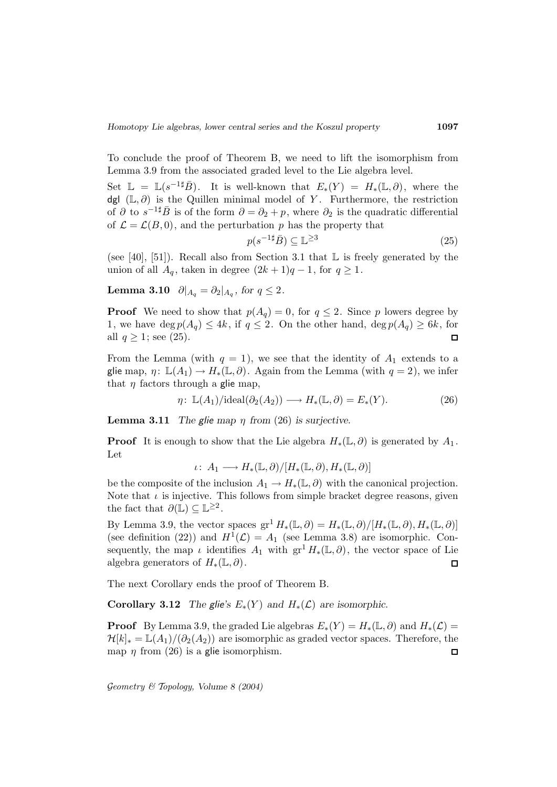To conclude the proof of Theorem B, we need to lift the isomorphism from Lemma 3.9 from the associated graded level to the Lie algebra level.

Set  $\mathbb{L} = \mathbb{L}(s^{-1\sharp}\overline{B})$ . It is well-known that  $E_*(Y) = H_*(\mathbb{L}, \partial)$ , where the dgl  $(L, \partial)$  is the Quillen minimal model of Y. Furthermore, the restriction of  $\partial$  to  $s^{-1\sharp} \bar{B}$  is of the form  $\partial = \partial_2 + p$ , where  $\partial_2$  is the quadratic differential of  $\mathcal{L} = \mathcal{L}(B, 0)$ , and the perturbation p has the property that

$$
p(s^{-1\sharp}\bar{B}) \subseteq \mathbb{L}^{\geq 3} \tag{25}
$$

(see [40], [51]). Recall also from Section 3.1 that  $\mathbb L$  is freely generated by the union of all  $A_q$ , taken in degree  $(2k+1)q-1$ , for  $q \ge 1$ .

**Lemma 3.10**  $\partial |_{A_q} = \partial_2 |_{A_q}$ , for  $q \leq 2$ .

**Proof** We need to show that  $p(A_q) = 0$ , for  $q \leq 2$ . Since p lowers degree by 1, we have deg  $p(A_q) \leq 4k$ , if  $q \leq 2$ . On the other hand, deg  $p(A_q) \geq 6k$ , for all  $q \geq 1$ ; see (25).  $\Box$ 

From the Lemma (with  $q = 1$ ), we see that the identity of  $A_1$  extends to a glie map,  $\eta: \mathbb{L}(A_1) \to H_*(\mathbb{L}, \partial)$ . Again from the Lemma (with  $q = 2$ ), we infer that  $\eta$  factors through a glie map,

$$
\eta \colon \mathbb{L}(A_1)/\mathrm{ideal}(\partial_2(A_2)) \longrightarrow H_*(\mathbb{L}, \partial) = E_*(Y). \tag{26}
$$

**Lemma 3.11** *The glie map*  $\eta$  *from* (26) *is surjective.* 

**Proof** It is enough to show that the Lie algebra  $H_*(\mathbb{L}, \partial)$  is generated by  $A_1$ . Let

 $\iota: A_1 \longrightarrow H_*(\mathbb{L}, \partial)/[H_*(\mathbb{L}, \partial), H_*(\mathbb{L}, \partial)]$ 

be the composite of the inclusion  $A_1 \to H_*(\mathbb{L}, \partial)$  with the canonical projection. Note that  $\iota$  is injective. This follows from simple bracket degree reasons, given the fact that  $\partial(\mathbb{L}) \subset \mathbb{L}^{\geq 2}$ .

By Lemma 3.9, the vector spaces  $gr^1 H_*(\mathbb{L}, \partial) = H_*(\mathbb{L}, \partial)/[H_*(\mathbb{L}, \partial), H_*(\mathbb{L}, \partial)]$ (see definition (22)) and  $H^1(\mathcal{L}) = A_1$  (see Lemma 3.8) are isomorphic. Consequently, the map  $\iota$  identifies  $A_1$  with  $gr^1 H_*(\mathbb{L}, \partial)$ , the vector space of Lie algebra generators of  $H_*(\mathbb{L}, \partial)$ .  $\Box$ 

The next Corollary ends the proof of Theorem B.

**Corollary 3.12** *The glie's*  $E_*(Y)$  *and*  $H_*(\mathcal{L})$  *are isomorphic.* 

**Proof** By Lemma 3.9, the graded Lie algebras  $E_*(Y) = H_*(\mathbb{L}, \partial)$  and  $H_*(\mathcal{L}) =$  $\mathcal{H}[k]_* = \mathbb{L}(A_1)/(\partial_2(A_2))$  are isomorphic as graded vector spaces. Therefore, the map  $\eta$  from (26) is a glie isomorphism. П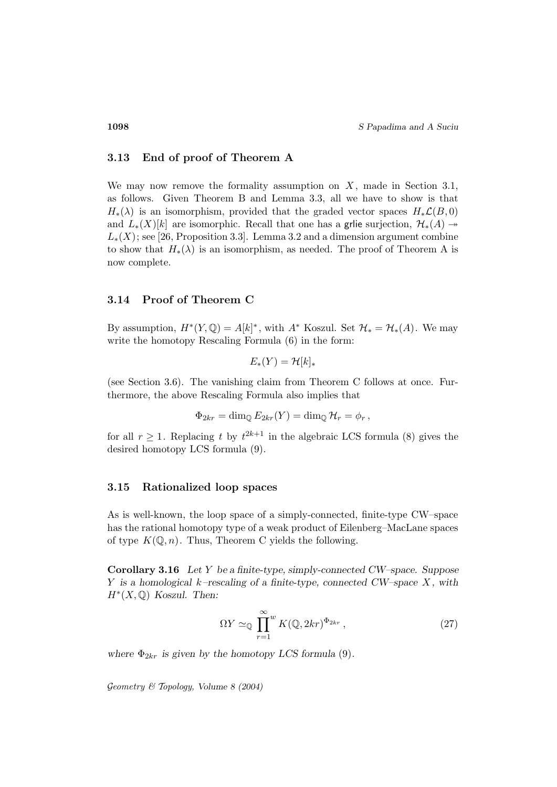### **3.13 End of proof of Theorem A**

We may now remove the formality assumption on  $X$ , made in Section 3.1, as follows. Given Theorem B and Lemma 3.3, all we have to show is that  $H_*(\lambda)$  is an isomorphism, provided that the graded vector spaces  $H_*\mathcal{L}(B,0)$ and  $L_*(X)[k]$  are isomorphic. Recall that one has a grile surjection,  $\mathcal{H}_*(A) \rightarrow$  $L_*(X)$ ; see [26, Proposition 3.3]. Lemma 3.2 and a dimension argument combine to show that  $H_*(\lambda)$  is an isomorphism, as needed. The proof of Theorem A is now complete.

### **3.14 Proof of Theorem C**

By assumption,  $H^*(Y, \mathbb{Q}) = A[k]^*$ , with  $A^*$  Koszul. Set  $\mathcal{H}_* = \mathcal{H}_*(A)$ . We may write the homotopy Rescaling Formula (6) in the form:

$$
E_*(Y) = \mathcal{H}[k]_*
$$

(see Section 3.6). The vanishing claim from Theorem C follows at once. Furthermore, the above Rescaling Formula also implies that

$$
\Phi_{2kr} = \dim_{\mathbb{Q}} E_{2kr}(Y) = \dim_{\mathbb{Q}} \mathcal{H}_r = \phi_r,
$$

for all  $r \geq 1$ . Replacing t by  $t^{2k+1}$  in the algebraic LCS formula (8) gives the desired homotopy LCS formula (9).

### **3.15 Rationalized loop spaces**

As is well-known, the loop space of a simply-connected, finite-type CW–space has the rational homotopy type of a weak product of Eilenberg–MacLane spaces of type  $K(\mathbb{Q}, n)$ . Thus, Theorem C yields the following.

**Corollary 3.16** *Let* Y *be a finite-type, simply-connected CW–space. Suppose* Y *is a homological* k*–rescaling of a finite-type, connected CW–space* X *, with*  $H^*(X, \mathbb{Q})$  *Koszul. Then:* 

$$
\Omega Y \simeq_{\mathbb{Q}} \prod_{r=1}^{\infty} K(\mathbb{Q}, 2kr)^{\Phi_{2kr}}, \qquad (27)
$$

where  $\Phi_{2kr}$  *is given by the homotopy LCS formula* (9).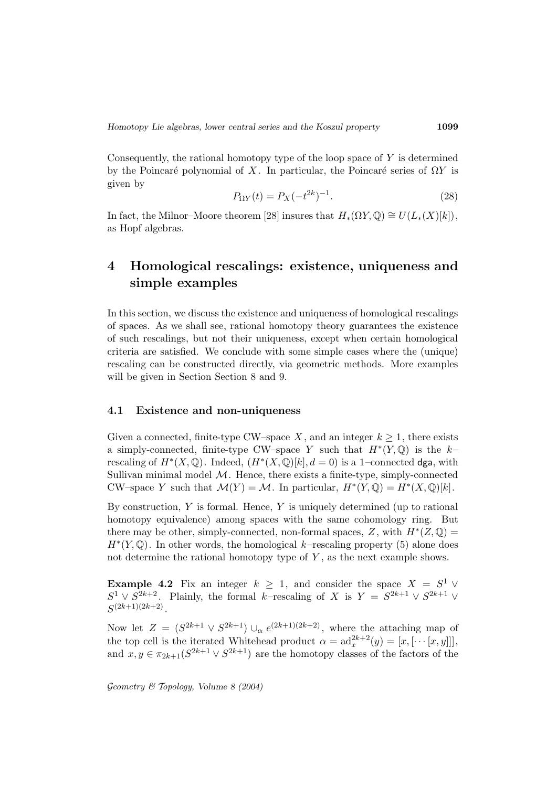Consequently, the rational homotopy type of the loop space of  $Y$  is determined by the Poincaré polynomial of X. In particular, the Poincaré series of  $\Omega Y$  is given by

$$
P_{\Omega Y}(t) = P_X(-t^{2k})^{-1}.
$$
\n(28)

In fact, the Milnor–Moore theorem [28] insures that  $H_*(\Omega Y, \mathbb{Q}) \cong U(L_*(X)[k]),$ as Hopf algebras.

# **4 Homological rescalings: existence, uniqueness and simple examples**

In this section, we discuss the existence and uniqueness of homological rescalings of spaces. As we shall see, rational homotopy theory guarantees the existence of such rescalings, but not their uniqueness, except when certain homological criteria are satisfied. We conclude with some simple cases where the (unique) rescaling can be constructed directly, via geometric methods. More examples will be given in Section Section 8 and 9.

#### **4.1 Existence and non-uniqueness**

Given a connected, finite-type CW–space X, and an integer  $k \geq 1$ , there exists a simply-connected, finite-type CW–space Y such that  $H^*(Y, \mathbb{Q})$  is the k– rescaling of  $H^*(X, \mathbb{Q})$ . Indeed,  $(H^*(X, \mathbb{Q})[k], d = 0)$  is a 1–connected dga, with Sullivan minimal model  $M$ . Hence, there exists a finite-type, simply-connected CW–space Y such that  $\mathcal{M}(Y) = \mathcal{M}$ . In particular,  $H^*(Y, \mathbb{Q}) = H^*(X, \mathbb{Q})[k]$ .

By construction,  $Y$  is formal. Hence,  $Y$  is uniquely determined (up to rational homotopy equivalence) among spaces with the same cohomology ring. But there may be other, simply-connected, non-formal spaces, Z, with  $H^*(Z,\mathbb{Q})=$  $H^*(Y, \mathbb{Q})$ . In other words, the homological k–rescaling property (5) alone does not determine the rational homotopy type of  $Y$ , as the next example shows.

**Example 4.2** Fix an integer  $k \geq 1$ , and consider the space  $X = S^1 \vee$  $S^1 \vee S^{2k+2}$ . Plainly, the formal k–rescaling of X is  $Y = S^{2k+1} \vee S^{2k+1} \vee$  $S^{(2k+1)(2k+2)}$ .

Now let  $Z = (S^{2k+1} \vee S^{2k+1}) \cup_{\alpha} e^{(2k+1)(2k+2)}$ , where the attaching map of the top cell is the iterated Whitehead product  $\alpha = ad_x^{2k+2}(y)=[x, [\cdots [x, y]]],$ and  $x, y \in \pi_{2k+1}(S^{2k+1} \vee S^{2k+1})$  are the homotopy classes of the factors of the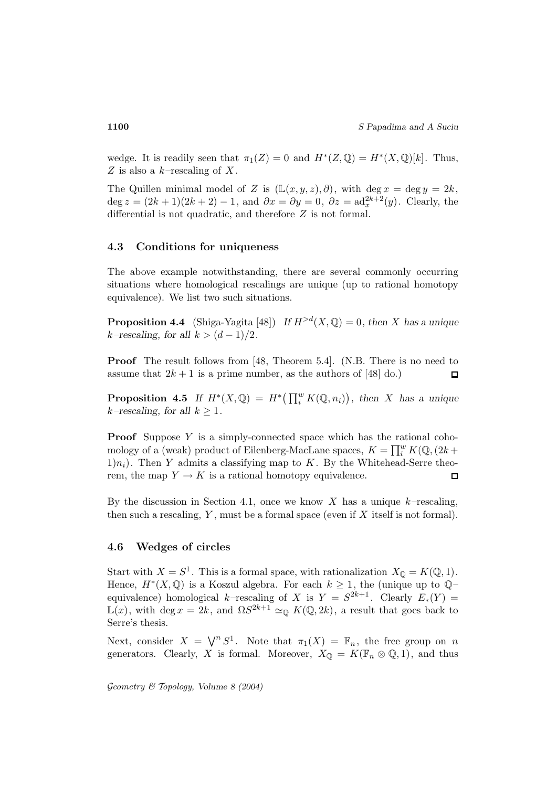wedge. It is readily seen that  $\pi_1(Z) = 0$  and  $H^*(Z, \mathbb{Q}) = H^*(X, \mathbb{Q})[k]$ . Thus, Z is also a  $k$ -rescaling of X.

The Quillen minimal model of Z is  $(\mathbb{L}(x, y, z), \partial)$ , with deg  $x = \deg y = 2k$ , deg  $z = (2k+1)(2k+2) - 1$ , and  $\partial x = \partial y = 0$ ,  $\partial z = \text{ad}_x^{2k+2}(y)$ . Clearly, the differential is not quadratic, and therefore Z is not formal.

#### **4.3 Conditions for uniqueness**

The above example notwithstanding, there are several commonly occurring situations where homological rescalings are unique (up to rational homotopy equivalence). We list two such situations.

**Proposition 4.4** (Shiga-Yagita [48]) *If*  $H^{>d}(X, \mathbb{Q}) = 0$ *, then* X *has a unique k*–rescaling, for all  $k > (d-1)/2$ .

**Proof** The result follows from [48, Theorem 5.4]. (N.B. There is no need to assume that  $2k + 1$  is a prime number, as the authors of [48] do.)  $\Box$ 

**Proposition 4.5** If  $H^*(X, \mathbb{Q}) = H^*\big(\prod_i^w K(\mathbb{Q}, n_i)\big)$ , then X has a unique  $k$ –rescaling, for all  $k \geq 1$ .

**Proof** Suppose Y is a simply-connected space which has the rational cohomology of a (weak) product of Eilenberg-MacLane spaces,  $K = \prod_i^w K(\mathbb{Q}, (2k +$  $(1)n_i$ ). Then Y admits a classifying map to K. By the Whitehead-Serre theorem, the map  $Y \to K$  is a rational homotopy equivalence.  $\Box$ 

By the discussion in Section 4.1, once we know X has a unique  $k$ -rescaling, then such a rescaling,  $Y$ , must be a formal space (even if  $X$  itself is not formal).

#### **4.6 Wedges of circles**

Start with  $X = S^1$ . This is a formal space, with rationalization  $X_{\mathbb{Q}} = K(\mathbb{Q}, 1)$ . Hence,  $H^*(X, \mathbb{Q})$  is a Koszul algebra. For each  $k \geq 1$ , the (unique up to  $\mathbb{Q}$ – equivalence) homological k–rescaling of X is  $Y = S^{2k+1}$ . Clearly  $E_*(Y) =$  $\mathbb{L}(x)$ , with deg  $x = 2k$ , and  $\Omega S^{2k+1} \simeq_{\mathbb{Q}} K(\mathbb{Q}, 2k)$ , a result that goes back to Serre's thesis.

Next, consider  $X = \bigvee^n S^1$ . Note that  $\pi_1(X) = \mathbb{F}_n$ , the free group on n generators. Clearly, X is formal. Moreover,  $X_{\mathbb{Q}} = K(\mathbb{F}_n \otimes \mathbb{Q}, 1)$ , and thus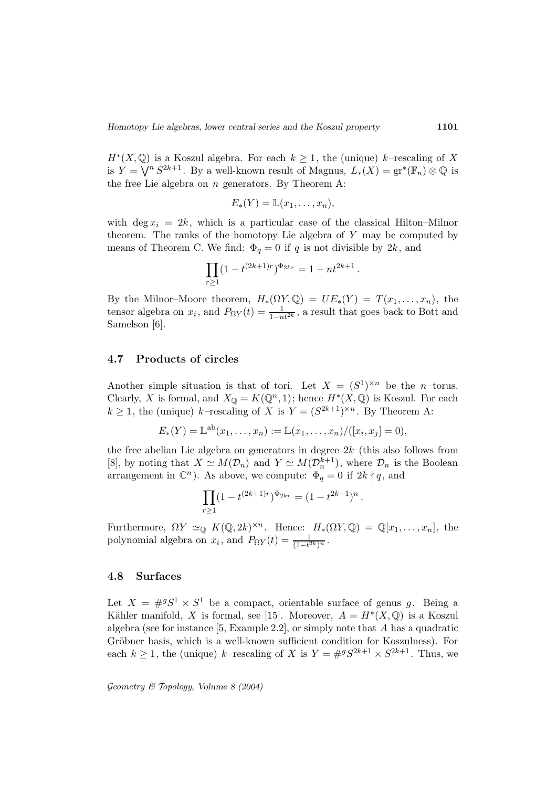$H^*(X, \mathbb{Q})$  is a Koszul algebra. For each  $k \geq 1$ , the (unique) k–rescaling of X is  $Y = \bigvee^{n} S^{2k+1}$ . By a well-known result of Magnus,  $L_*(X) = \mathrm{gr}^*(\mathbb{F}_n) \otimes \mathbb{Q}$  is the free Lie algebra on  $n$  generators. By Theorem A:

$$
E_*(Y) = \mathbb{L}(x_1,\ldots,x_n),
$$

with deg  $x_i = 2k$ , which is a particular case of the classical Hilton–Milnor theorem. The ranks of the homotopy Lie algebra of  $Y$  may be computed by means of Theorem C. We find:  $\Phi_q = 0$  if q is not divisible by  $2k$ , and

$$
\prod_{r\geq 1} (1-t^{(2k+1)r})^{\Phi_{2kr}} = 1-nt^{2k+1}.
$$

By the Milnor–Moore theorem,  $H_*(\Omega Y, \mathbb{Q}) = UE_*(Y) = T(x_1, \ldots, x_n)$ , the tensor algebra on  $x_i$ , and  $P_{\Omega Y}(t) = \frac{1}{1 - nt^{2k}}$ , a result that goes back to Bott and Samelson [6].

### **4.7 Products of circles**

Another simple situation is that of tori. Let  $X = (S^1)^{\times n}$  be the *n*-torus. Clearly, X is formal, and  $X_{\mathbb{Q}} = K(\mathbb{Q}^n, 1)$ ; hence  $H^*(X, \mathbb{Q})$  is Koszul. For each  $k \geq 1$ , the (unique) k–rescaling of X is  $Y = (S^{2k+1})^{\times n}$ . By Theorem A:

$$
E_*(Y) = \mathbb{L}^{ab}(x_1, \dots, x_n) := \mathbb{L}(x_1, \dots, x_n) / ([x_i, x_j] = 0),
$$

the free abelian Lie algebra on generators in degree  $2k$  (this also follows from [8], by noting that  $X \simeq M(\mathcal{D}_n)$  and  $Y \simeq M(\mathcal{D}_n^{k+1})$ , where  $\mathcal{D}_n$  is the Boolean arrangement in  $\mathbb{C}^n$ ). As above, we compute:  $\Phi_q = 0$  if  $2k \nmid q$ , and

$$
\prod_{r\geq 1} (1-t^{(2k+1)r})^{\Phi_{2kr}} = (1-t^{2k+1})^n.
$$

Furthermore,  $\Omega Y \simeq_{\mathbb{Q}} K(\mathbb{Q}, 2k)^{\times n}$ . Hence:  $H_*(\Omega Y, \mathbb{Q}) = \mathbb{Q}[x_1, \ldots, x_n]$ , the polynomial algebra on  $x_i$ , and  $P_{\Omega Y}(t) = \frac{1}{(1-t^{2k})^n}$ .

#### **4.8 Surfaces**

Let  $X = \#^g S^1 \times S^1$  be a compact, orientable surface of genus g. Being a Kähler manifold, X is formal, see [15]. Moreover,  $A = H^*(X, \mathbb{Q})$  is a Koszul algebra (see for instance  $[5, Example 2.2]$ , or simply note that A has a quadratic Gröbner basis, which is a well-known sufficient condition for Koszulness). For each  $k \geq 1$ , the (unique) k–rescaling of X is  $Y = #^gS^{2k+1} \times S^{2k+1}$ . Thus, we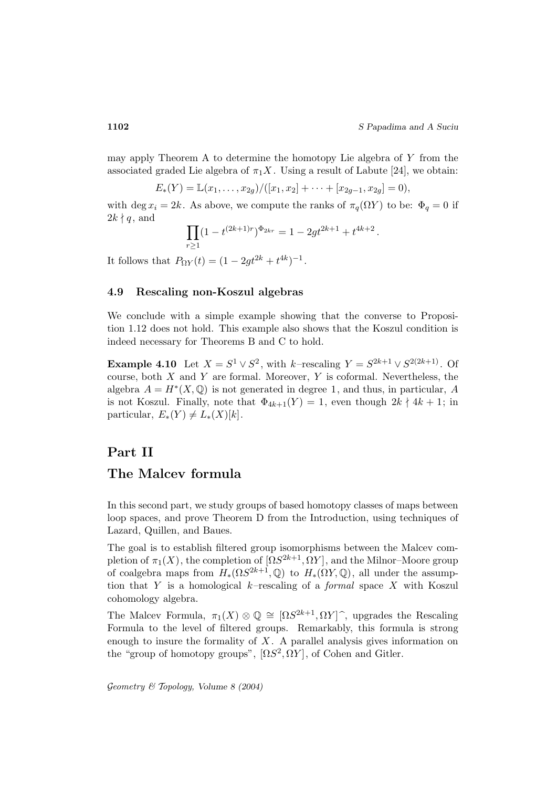may apply Theorem A to determine the homotopy Lie algebra of Y from the associated graded Lie algebra of  $\pi_1 X$ . Using a result of Labute [24], we obtain:

$$
E_*(Y) = \mathbb{L}(x_1,\ldots,x_{2g})/([x_1,x_2]+\cdots+[x_{2g-1},x_{2g}]=0),
$$

with deg  $x_i = 2k$ . As above, we compute the ranks of  $\pi_q(\Omega Y)$  to be:  $\Phi_q = 0$  if  $2k \nmid q$ , and

$$
\prod_{r\geq 1} (1-t^{(2k+1)r})^{\Phi_{2kr}} = 1 - 2gt^{2k+1} + t^{4k+2}.
$$

It follows that  $P_{\Omega Y}(t) = (1 - 2gt^{2k} + t^{4k})^{-1}$ .

## **4.9 Rescaling non-Koszul algebras**

We conclude with a simple example showing that the converse to Proposition 1.12 does not hold. This example also shows that the Koszul condition is indeed necessary for Theorems B and C to hold.

**Example 4.10** Let  $X = S^1 \vee S^2$ , with k–rescaling  $Y = S^{2k+1} \vee S^{2(2k+1)}$ . Of course, both  $X$  and  $Y$  are formal. Moreover,  $Y$  is coformal. Nevertheless, the algebra  $A = H^*(X, \mathbb{Q})$  is not generated in degree 1, and thus, in particular, A is not Koszul. Finally, note that  $\Phi_{4k+1}(Y) = 1$ , even though  $2k \nmid 4k+1$ ; in particular,  $E_*(Y) \neq L_*(X)[k]$ .

# **Part II**

# **The Malcev formula**

In this second part, we study groups of based homotopy classes of maps between loop spaces, and prove Theorem D from the Introduction, using techniques of Lazard, Quillen, and Baues.

The goal is to establish filtered group isomorphisms between the Malcev completion of  $\pi_1(X)$ , the completion of  $\left[ \Omega S^{2k+1}, \Omega Y \right]$ , and the Milnor–Moore group of coalgebra maps from  $H_*(\Omega S^{2k+1}, \mathbb{Q})$  to  $H_*(\Omega Y, \mathbb{Q})$ , all under the assumption that Y is a homological  $k$ -rescaling of a *formal* space X with Koszul cohomology algebra.

The Malcev Formula,  $\pi_1(X) \otimes \mathbb{Q} \cong [\Omega S^{2k+1}, \Omega Y]^{\hat{ }}$ , upgrades the Rescaling Formula to the level of filtered groups. Remarkably, this formula is strong enough to insure the formality of  $X$ . A parallel analysis gives information on the "group of homotopy groups",  $[\Omega S^2, \Omega Y]$ , of Cohen and Gitler.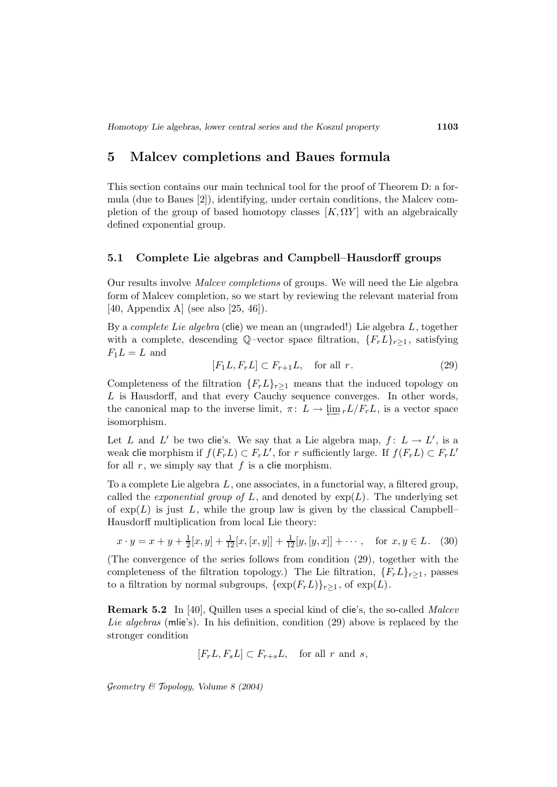# **5 Malcev completions and Baues formula**

This section contains our main technical tool for the proof of Theorem D: a formula (due to Baues [2]), identifying, under certain conditions, the Malcev completion of the group of based homotopy classes  $[K, \Omega Y]$  with an algebraically defined exponential group.

#### **5.1 Complete Lie algebras and Campbell–Hausdorff groups**

Our results involve Malcev completions of groups. We will need the Lie algebra form of Malcev completion, so we start by reviewing the relevant material from [40, Appendix A] (see also [25, 46]).

By a *complete Lie algebra* (clie) we mean an (ungraded!) Lie algebra  $L$ , together with a complete, descending Q–vector space filtration,  ${F_r L}_{r>1}$ , satisfying  $F_1L = L$  and

$$
[F_1L, F_rL] \subset F_{r+1}L, \quad \text{for all } r. \tag{29}
$$

Completeness of the filtration  ${F_r L}_{r>1}$  means that the induced topology on L is Hausdorff, and that every Cauchy sequence converges. In other words, the canonical map to the inverse limit,  $\pi: L \to \varprojlim_r L/F_rL$ , is a vector space isomorphism.

Let L and L' be two clie's. We say that a Lie algebra map,  $f: L \to L'$ , is a weak clie morphism if  $f(F_rL) \subset F_rL'$ , for r sufficiently large. If  $f(F_rL) \subset F_rL'$ for all  $r$ , we simply say that  $f$  is a clie morphism.

To a complete Lie algebra L, one associates, in a functorial way, a filtered group, called the *exponential group of L*, and denoted by  $exp(L)$ . The underlying set of  $\exp(L)$  is just L, while the group law is given by the classical Campbell– Hausdorff multiplication from local Lie theory:

$$
x \cdot y = x + y + \frac{1}{2}[x, y] + \frac{1}{12}[x, [x, y]] + \frac{1}{12}[y, [y, x]] + \cdots, \text{ for } x, y \in L. \tag{30}
$$

(The convergence of the series follows from condition (29), together with the completeness of the filtration topology.) The Lie filtration,  ${F_r L}_{r>1}$ , passes to a filtration by normal subgroups,  $\{\exp(F_rL)\}_{r\geq 1}$ , of  $\exp(L)$ .

**Remark 5.2** In [40], Quillen uses a special kind of clie's, the so-called *Malcev* Lie algebras (mlie's). In his definition, condition (29) above is replaced by the stronger condition

$$
[F_r L, F_s L] \subset F_{r+s} L
$$
, for all r and s,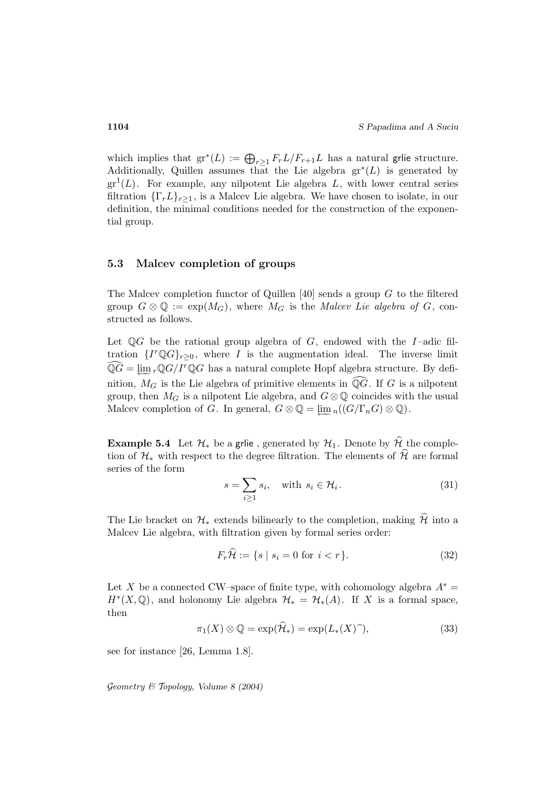which implies that  $gr^*(L) := \bigoplus_{r \geq 1} F_r L/F_{r+1} L$  has a natural grile structure. Additionally, Quillen assumes that the Lie algebra  $gr^*(L)$  is generated by  $gr<sup>1</sup>(L)$ . For example, any nilpotent Lie algebra L, with lower central series filtration  $\{\Gamma_r L\}_{r>1}$ , is a Malcev Lie algebra. We have chosen to isolate, in our definition, the minimal conditions needed for the construction of the exponential group.

### **5.3 Malcev completion of groups**

The Malcev completion functor of Quillen [40] sends a group  $G$  to the filtered group  $G \otimes \mathbb{Q} := \exp(M_G)$ , where  $M_G$  is the Malcev Lie algebra of G, constructed as follows.

Let  $\mathbb{Q}G$  be the rational group algebra of G, endowed with the I-adic filtration  $\{I^r \mathbb{Q} G\}_{r>0}$ , where I is the augmentation ideal. The inverse limit  $\widehat{\mathbb{Q}G} = \varprojlim_r \mathbb{Q}G/I^r \mathbb{Q}G$  has a natural complete Hopf algebra structure. By definition,  $M_G$  is the Lie algebra of primitive elements in  $\mathbb{Q}G$ . If G is a nilpotent group, then  $M_G$  is a nilpotent Lie algebra, and  $G \otimes \mathbb{Q}$  coincides with the usual Malcev completion of G. In general,  $G \otimes \mathbb{Q} = \varprojlim_n ((G/\Gamma_n G) \otimes \mathbb{Q}).$ 

**Example 5.4** Let  $\mathcal{H}_*$  be a grile, generated by  $\mathcal{H}_1$ . Denote by  $\widehat{\mathcal{H}}$  the completion of  $\mathcal{H}_*$  with respect to the degree filtration. The elements of  $\widehat{\mathcal{H}}$  are formal series of the form

$$
s = \sum_{i \ge 1} s_i, \quad \text{with } s_i \in \mathcal{H}_i. \tag{31}
$$

The Lie bracket on  $\mathcal{H}_*$  extends bilinearly to the completion, making  $\widehat{\mathcal{H}}$  into a Malcev Lie algebra, with filtration given by formal series order:

$$
F_r \mathcal{H} := \{ s \mid s_i = 0 \text{ for } i < r \}. \tag{32}
$$

Let X be a connected CW–space of finite type, with cohomology algebra  $A^*$  =  $H^*(X, \mathbb{Q})$ , and holonomy Lie algebra  $\mathcal{H}_* = \mathcal{H}_*(A)$ . If X is a formal space, then

$$
\pi_1(X) \otimes \mathbb{Q} = \exp(\mathcal{H}_*) = \exp(L_*(X)^{\widehat{\ }}),\tag{33}
$$

see for instance [26, Lemma 1.8].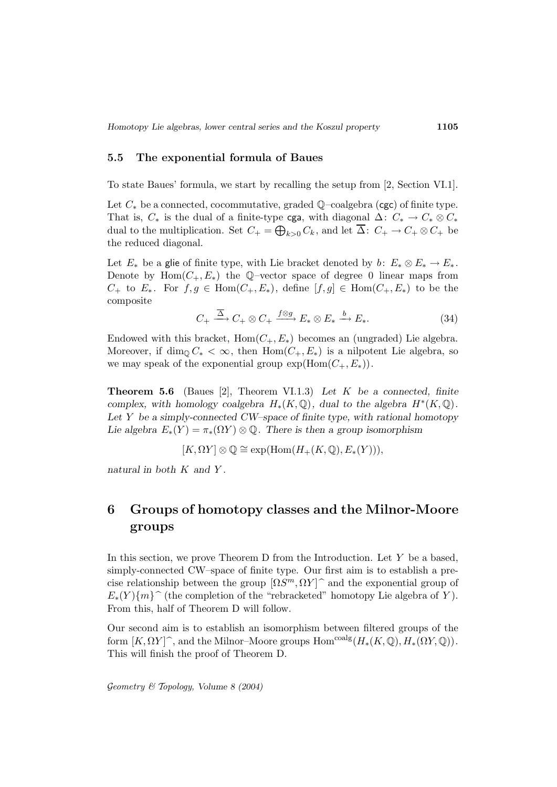#### **5.5 The exponential formula of Baues**

To state Baues' formula, we start by recalling the setup from [2, Section VI.1].

Let  $C_*$  be a connected, cocommutative, graded  $\mathbb{Q}$ –coalgebra (cgc) of finite type. That is,  $C_*$  is the dual of a finite-type cga, with diagonal  $\Delta: C_* \to C_* \otimes C_*$ dual to the multiplication. Set  $C_+ = \bigoplus_{k>0} C_k$ , and let  $\overline{\Delta}$ :  $C_+ \to C_+ \otimes C_+$  be the reduced diagonal.

Let  $E_*$  be a glie of finite type, with Lie bracket denoted by b:  $E_* \otimes E_* \to E_*$ . Denote by  $Hom(C_+, E_*)$  the Q–vector space of degree 0 linear maps from  $C_+$  to  $E_*$ . For  $f, g \in \text{Hom}(C_+, E_*)$ , define  $[f, g] \in \text{Hom}(C_+, E_*)$  to be the composite

$$
C_{+} \xrightarrow{\overline{\Delta}} C_{+} \otimes C_{+} \xrightarrow{f \otimes g} E_{*} \otimes E_{*} \xrightarrow{b} E_{*}.
$$
 (34)

Endowed with this bracket,  $Hom(C_+, E_*)$  becomes an (ungraded) Lie algebra. Moreover, if dim<sub>0</sub>  $C_* < \infty$ , then Hom $(C_+, E_*)$  is a nilpotent Lie algebra, so we may speak of the exponential group  $\exp(\text{Hom}(C_+, E_*)).$ 

**Theorem 5.6** (Baues [2], Theorem VI.1.3) *Let* K *be a connected, finite complex, with homology coalgebra*  $H_*(K, \mathbb{Q})$ *, dual to the algebra*  $H^*(K, \mathbb{Q})$ *. Let* Y *be a simply-connected CW–space of finite type, with rational homotopy Lie algebra*  $E_*(Y) = \pi_*(\Omega Y) \otimes \mathbb{Q}$ . There is then a group isomorphism

 $[K, \Omega Y] \otimes \mathbb{Q} \cong \exp(\text{Hom}(H_+(K, \mathbb{Q}), E_*(Y))),$ 

*natural in both* K *and* Y *.*

# **6 Groups of homotopy classes and the Milnor-Moore groups**

In this section, we prove Theorem  $D$  from the Introduction. Let  $Y$  be a based, simply-connected CW–space of finite type. Our first aim is to establish a precise relationship between the group  $[\Omega S^m, \Omega Y]^{\frown}$  and the exponential group of  $E_*(Y)\{m\}^{\frown}$  (the completion of the "rebracketed" homotopy Lie algebra of Y). From this, half of Theorem D will follow.

Our second aim is to establish an isomorphism between filtered groups of the form  $[K, \Omega Y]$ <sup> $\hat{\ }$ </sup>, and the Milnor–Moore groups Hom<sup>coalg</sup> $(H_*(K, \mathbb{Q}), H_*(\Omega Y, \mathbb{Q})).$ This will finish the proof of Theorem D.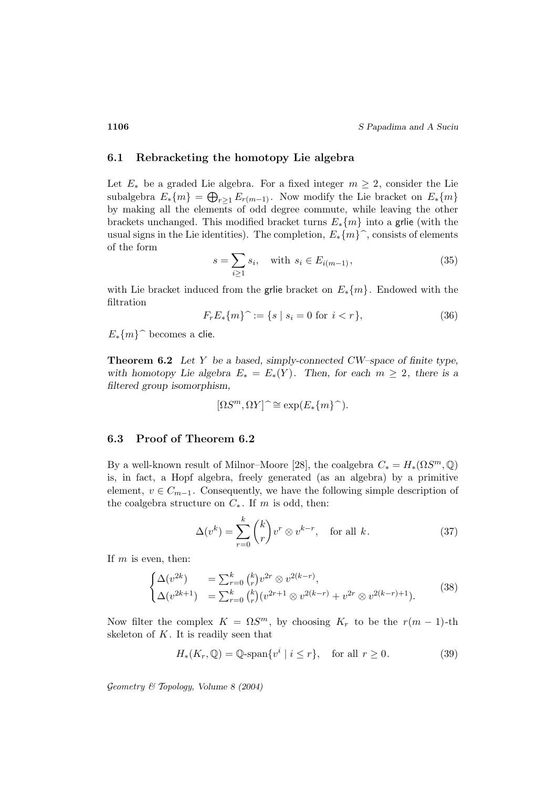#### **6.1 Rebracketing the homotopy Lie algebra**

Let  $E_*$  be a graded Lie algebra. For a fixed integer  $m \geq 2$ , consider the Lie subalgebra  $E_*\{m\} = \bigoplus_{r \geq 1} E_{r(m-1)}$ . Now modify the Lie bracket on  $E_*\{m\}$ by making all the elements of odd degree commute, while leaving the other brackets unchanged. This modified bracket turns  $E_*\{m\}$  into a grile (with the usual signs in the Lie identities). The completion,  $E_*\{m\}^{\frown}$ , consists of elements of the form

$$
s = \sum_{i \ge 1} s_i, \quad \text{with } s_i \in E_{i(m-1)}, \tag{35}
$$

with Lie bracket induced from the grie bracket on  $E_*{m}$ . Endowed with the filtration

$$
F_r E_* \{m\}^{\sim} := \{ s \mid s_i = 0 \text{ for } i < r \},\tag{36}
$$

 $E_*\{m\}$ <sup> $\hat{ }$ </sup> becomes a clie.

**Theorem 6.2** *Let* Y *be a based, simply-connected CW–space of finite type, with homotopy Lie algebra*  $E_* = E_*(Y)$ *. Then, for each*  $m \geq 2$ *, there is a filtered group isomorphism,*

$$
[\Omega S^m, \Omega Y] \hat{\ } \cong \exp(E_*\{m\}^{\hat{}}).
$$

### **6.3 Proof of Theorem 6.2**

By a well-known result of Milnor–Moore [28], the coalgebra  $C_* = H_*(\Omega S^m, \mathbb{Q})$ is, in fact, a Hopf algebra, freely generated (as an algebra) by a primitive element,  $v \in C_{m-1}$ . Consequently, we have the following simple description of the coalgebra structure on  $C_*$ . If m is odd, then:

$$
\Delta(v^k) = \sum_{r=0}^k {k \choose r} v^r \otimes v^{k-r}, \text{ for all } k. \tag{37}
$$

If  $m$  is even, then:

$$
\begin{cases}\n\Delta(v^{2k}) &= \sum_{r=0}^{k} {k \choose r} v^{2r} \otimes v^{2(k-r)}, \\
\Delta(v^{2k+1}) &= \sum_{r=0}^{k} {k \choose r} (v^{2r+1} \otimes v^{2(k-r)} + v^{2r} \otimes v^{2(k-r)+1}).\n\end{cases}
$$
\n(38)

Now filter the complex  $K = \Omega S^m$ , by choosing  $K_r$  to be the  $r(m-1)$ -th skeleton of  $K$ . It is readily seen that

$$
H_*(K_r, \mathbb{Q}) = \mathbb{Q}\text{-span}\{v^i \mid i \le r\}, \quad \text{for all } r \ge 0. \tag{39}
$$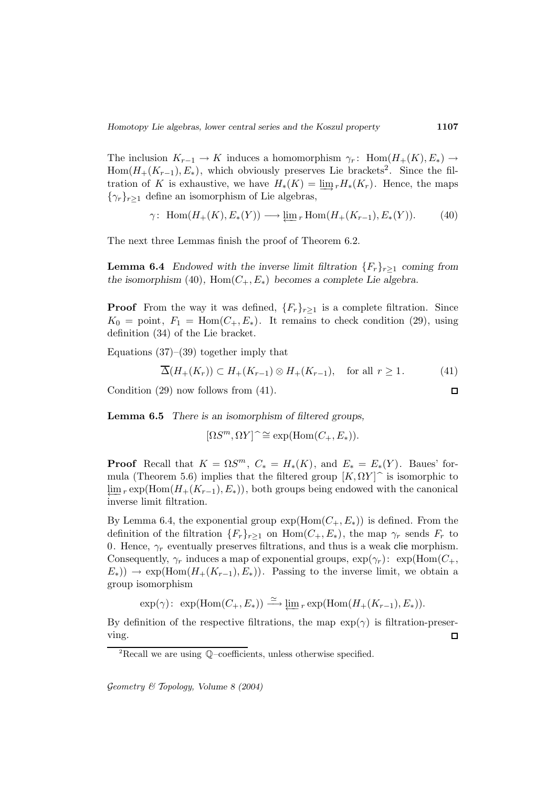The inclusion  $K_{r-1} \to K$  induces a homomorphism  $\gamma_r$ : Hom $(H_+(K), E_*) \to$  $Hom(H_+(K_{r-1}), E_*)$ , which obviously preserves Lie brackets<sup>2</sup>. Since the filtration of K is exhaustive, we have  $H_*(K) = \underline{\lim}_r H_*(K_r)$ . Hence, the maps  $\{\gamma_r\}_{r>1}$  define an isomorphism of Lie algebras,

$$
\gamma\colon \operatorname{Hom}(H_+(K), E_*(Y)) \longrightarrow \varprojlim_r \operatorname{Hom}(H_+(K_{r-1}), E_*(Y)).\tag{40}
$$

The next three Lemmas finish the proof of Theorem 6.2.

**Lemma 6.4** *Endowed with the inverse limit filtration*  ${F_r}_{r\geq1}$  *coming from the isomorphism* (40),  $Hom(C_+, E_*)$  *becomes a complete Lie algebra.* 

**Proof** From the way it was defined,  ${F_r}_{r>1}$  is a complete filtration. Since  $K_0 = \text{point}, F_1 = \text{Hom}(C_+, E_*)$ . It remains to check condition (29), using definition (34) of the Lie bracket.

Equations  $(37)$ – $(39)$  together imply that

$$
\overline{\Delta}(H_+(K_r)) \subset H_+(K_{r-1}) \otimes H_+(K_{r-1}), \quad \text{for all } r \ge 1. \tag{41}
$$

Condition (29) now follows from (41).

**Lemma 6.5** *There is an isomorphism of filtered groups,*

 $[\Omega S^m, \Omega Y] \hat{\ } \cong \exp(\text{Hom}(C_+, E_*)).$ 

**Proof** Recall that  $K = \Omega S^m$ ,  $C_* = H_*(K)$ , and  $E_* = E_*(Y)$ . Baues' formula (Theorem 5.6) implies that the filtered group  $[K, \Omega Y]$ <sup> $\sim$ </sup> is isomorphic to  $\lim_{r \to \infty} r \exp(\text{Hom}(H_+(K_{r-1}), E_*))$ , both groups being endowed with the canonical inverse limit filtration.

By Lemma 6.4, the exponential group  $\exp(\text{Hom}(C_+, E_*))$  is defined. From the definition of the filtration  $\{F_r\}_{r>1}$  on  $\text{Hom}(C_+, E_*)$ , the map  $\gamma_r$  sends  $F_r$  to 0. Hence,  $\gamma_r$  eventually preserves filtrations, and thus is a weak clie morphism. Consequently,  $\gamma_r$  induces a map of exponential groups,  $\exp(\gamma_r)$ :  $\exp(\text{Hom}(C_+),$  $E_*)$ ) → exp(Hom( $H_+(K_{r-1}), E_*)$ ). Passing to the inverse limit, we obtain a group isomorphism

 $\exp(\gamma)$ :  $\exp(\text{Hom}(C_+, E_*)) \xrightarrow{\simeq} \varprojlim_r \exp(\text{Hom}(H_+(K_{r-1}), E_*)).$ 

By definition of the respective filtrations, the map  $\exp(\gamma)$  is filtration-preserving.  $\Box$ 

Geometry & Topology*, Volume 8 (2004)*

 $\Box$ 

<sup>2</sup>Recall we are using Q–coefficients, unless otherwise specified.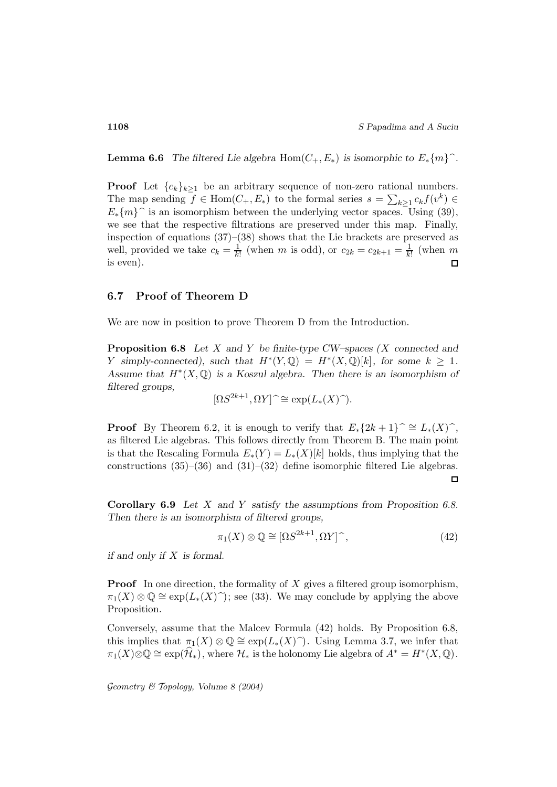**Lemma 6.6** *The filtered Lie algebra* Hom $(C_+, E_*)$  *is isomorphic to*  $E_*\{m\}$ *<sup>* $\hat{ }$ *</sup>.* 

**Proof** Let  ${c_k}_{k>1}$  be an arbitrary sequence of non-zero rational numbers. The map sending  $f \in \text{Hom}(C_+, E_*)$  to the formal series  $s = \sum_{k \geq 1} c_k f(v^k) \in$  $E_*\{m\}$  is an isomorphism between the underlying vector spaces. Using (39), we see that the respective filtrations are preserved under this map. Finally, inspection of equations  $(37)$ – $(38)$  shows that the Lie brackets are preserved as well, provided we take  $c_k = \frac{1}{k!}$  (when m is odd), or  $c_{2k} = c_{2k+1} = \frac{1}{k!}$  (when m is even).  $\Gamma$ 

#### **6.7 Proof of Theorem D**

We are now in position to prove Theorem D from the Introduction.

**Proposition 6.8** *Let* X *and* Y *be finite-type CW–spaces (*X *connected and* Y simply-connected), such that  $H^*(Y, \mathbb{Q}) = H^*(X, \mathbb{Q})[k]$ , for some  $k \geq 1$ . *Assume that* H∗(X, Q) *is a Koszul algebra. Then there is an isomorphism of filtered groups,*

$$
[\Omega S^{2k+1}, \Omega Y] \hat{\ } \cong \exp(L_*(X) \hat{\ })
$$

**Proof** By Theorem 6.2, it is enough to verify that  $E_*\{2k+1\}$   $\cong$   $L_*(X)\hat{\ }$ , as filtered Lie algebras. This follows directly from Theorem B. The main point is that the Rescaling Formula  $E_*(Y) = L_*(X)[k]$  holds, thus implying that the constructions  $(35)$ – $(36)$  and  $(31)$ – $(32)$  define isomorphic filtered Lie algebras.  $\Box$ 

**Corollary 6.9** *Let* X *and* Y *satisfy the assumptions from Proposition 6.8. Then there is an isomorphism of filtered groups,*

$$
\pi_1(X) \otimes \mathbb{Q} \cong [\Omega S^{2k+1}, \Omega Y]^\frown,
$$
\n(42)

*if and only if* X *is formal.*

**Proof** In one direction, the formality of X gives a filtered group isomorphism,  $\pi_1(X) \otimes \mathbb{Q} \cong \exp(L_*(X) \hat{\ } )$ ; see (33). We may conclude by applying the above Proposition.

Conversely, assume that the Malcev Formula (42) holds. By Proposition 6.8, this implies that  $\pi_1(X) \otimes \mathbb{Q} \cong \exp(L_*(X) \hat{\ } )$ . Using Lemma 3.7, we infer that  $\pi_1(X)\otimes\mathbb{Q}\cong \exp(\mathcal{H}_*)$ , where  $\mathcal{H}_*$  is the holonomy Lie algebra of  $A^*=H^*(X,\mathbb{Q})$ .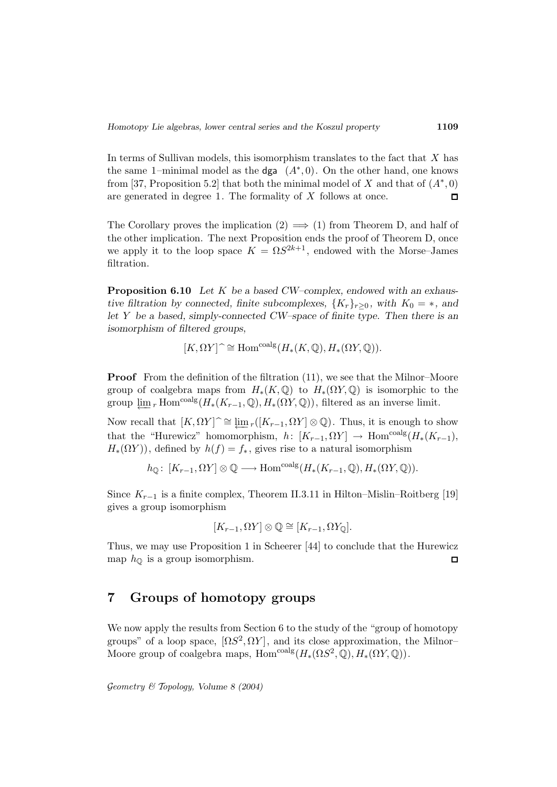In terms of Sullivan models, this isomorphism translates to the fact that X has the same 1–minimal model as the dga  $(A^*,0)$ . On the other hand, one knows from [37, Proposition 5.2] that both the minimal model of X and that of  $(A^*,0)$ are generated in degree 1. The formality of X follows at once.  $\Box$ 

The Corollary proves the implication  $(2) \implies (1)$  from Theorem D, and half of the other implication. The next Proposition ends the proof of Theorem D, once we apply it to the loop space  $K = \Omega S^{2k+1}$ , endowed with the Morse–James filtration.

**Proposition 6.10** *Let* K *be a based CW–complex, endowed with an exhaustive filtration by connected, finite subcomplexes,*  ${K_r}_{r>0}$ *, with*  $K_0 = *$ *, and let* Y *be a based, simply-connected CW–space of finite type. Then there is an isomorphism of filtered groups,*

$$
[K,\Omega Y] \widehat{\phantom{I}} \cong \mathrm{Hom}^{\mathrm{coalg}}(H_*(K,\mathbb{Q}),H_*(\Omega Y,\mathbb{Q})).
$$

**Proof** From the definition of the filtration (11), we see that the Milnor–Moore group of coalgebra maps from  $H_*(K, \mathbb{Q})$  to  $H_*(\Omega Y, \mathbb{Q})$  is isomorphic to the group  $\lim_{r}$  Hom<sup>coalg</sup>( $H_*(K_{r-1}, \mathbb{Q}), H_*(\Omega Y, \mathbb{Q})$ ), filtered as an inverse limit.

Now recall that  $[K, \Omega Y] \cong \underleftarrow{\lim}_{r} ([K_{r-1}, \Omega Y] \otimes \mathbb{Q})$ . Thus, it is enough to show that the "Hurewicz" homomorphism,  $h: [K_{r-1}, \Omega Y] \to \text{Hom}^{\text{coalg}}(H_*(K_{r-1}),$  $H_*(\Omega Y)$ , defined by  $h(f) = f_*$ , gives rise to a natural isomorphism

$$
h_{\mathbb{Q}}\colon [K_{r-1}, \Omega Y] \otimes \mathbb{Q} \longrightarrow \text{Hom}^{\text{coalg}}(H_*(K_{r-1}, \mathbb{Q}), H_*(\Omega Y, \mathbb{Q})).
$$

Since  $K_{r-1}$  is a finite complex, Theorem II.3.11 in Hilton–Mislin–Roitberg [19] gives a group isomorphism

$$
[K_{r-1}, \Omega Y] \otimes \mathbb{Q} \cong [K_{r-1}, \Omega Y_{\mathbb{Q}}].
$$

Thus, we may use Proposition 1 in Scheerer [44] to conclude that the Hurewicz map  $h_{\mathbb{Q}}$  is a group isomorphism.  $\Box$ 

# **7 Groups of homotopy groups**

We now apply the results from Section 6 to the study of the "group of homotopy groups" of a loop space,  $[\Omega S^2, \Omega Y]$ , and its close approximation, the Milnor-Moore group of coalgebra maps, Hom<sup>coalg</sup> $(H_*(\Omega S^2, \mathbb{Q}), H_*(\Omega Y, \mathbb{Q}))$ .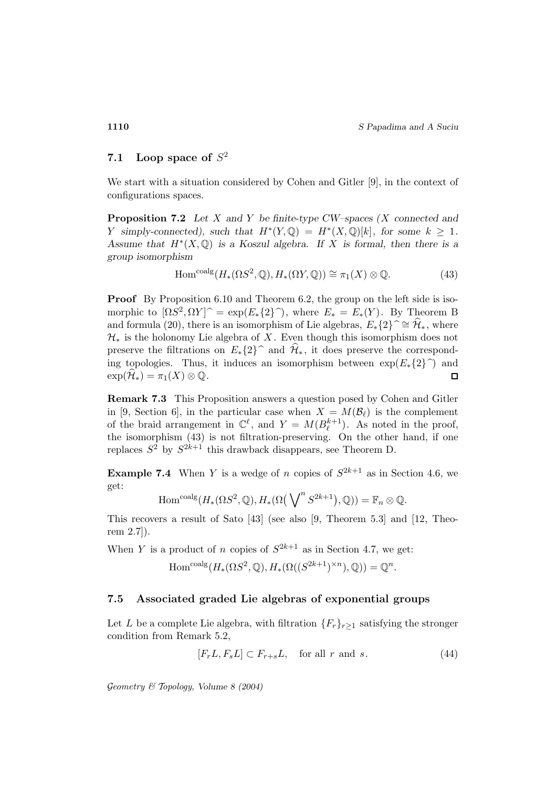# **7.1** Loop space of  $S^2$

We start with a situation considered by Cohen and Gitler [9], in the context of configurations spaces.

**Proposition 7.2** *Let* X *and* Y *be finite-type CW–spaces (*X *connected and Y* simply-connected), such that  $H^*(Y, \mathbb{Q}) = H^*(X, \mathbb{Q})[k]$ , for some  $k \geq 1$ . *Assume that* H∗(X, Q) *is a Koszul algebra. If* X *is formal, then there is a group isomorphism*

$$
\text{Hom}^{\text{coalg}}(H_*(\Omega S^2, \mathbb{Q}), H_*(\Omega Y, \mathbb{Q})) \cong \pi_1(X) \otimes \mathbb{Q}.\tag{43}
$$

**Proof** By Proposition 6.10 and Theorem 6.2, the group on the left side is isomorphic to  $[\Omega S^2, \Omega Y]^{\frown} = \exp(E_*\{2\}^{\frown})$ , where  $E_* = E_*(Y)$ . By Theorem B and formula (20), there is an isomorphism of Lie algebras,  $E_*{2} \approx \hat{\mathcal{H}}_*$ , where  $\mathcal{H}_*$  is the holonomy Lie algebra of X. Even though this isomorphism does not preserve the filtrations on  $E_*\{2\}$  and  $\mathcal{H}_*$ , it does preserve the corresponding topologies. Thus, it induces an isomorphism between  $\exp(E_*\{2\})$  and  $\exp(\widehat{\mathcal{H}}_*) = \pi_1(X) \otimes \mathbb{Q}$ .  $\exp(\mathcal{H}_*) = \pi_1(X) \otimes \mathbb{Q}.$ 

**Remark 7.3** This Proposition answers a question posed by Cohen and Gitler in [9, Section 6], in the particular case when  $X = M(\mathcal{B}_{\ell})$  is the complement of the braid arrangement in  $\mathbb{C}^{\ell}$ , and  $Y = M(B_{\ell}^{k+1})$ . As noted in the proof, the isomorphism (43) is not filtration-preserving. On the other hand, if one replaces  $S^2$  by  $S^{2k+1}$  this drawback disappears, see Theorem D.

**Example 7.4** When Y is a wedge of n copies of  $S^{2k+1}$  as in Section 4.6, we get:

$$
\mathrm{Hom}^{\mathrm{coalg}}(H_*(\Omega S^2,\mathbb{Q}),H_*(\Omega\big(\bigvee\nolimits^n S^{2k+1}\big),\mathbb{Q}) )=\mathbb{F}_n\otimes\mathbb{Q}.
$$

This recovers a result of Sato [43] (see also [9, Theorem 5.3] and [12, Theorem 2.7]).

When Y is a product of n copies of  $S^{2k+1}$  as in Section 4.7, we get:

$$
\mathrm{Hom}^{\mathrm{coalg}}(H_*(\Omega S^2, \mathbb{Q}), H_*(\Omega((S^{2k+1})^{\times n}), \mathbb{Q})) = \mathbb{Q}^n.
$$

### **7.5 Associated graded Lie algebras of exponential groups**

Let L be a complete Lie algebra, with filtration  $\{F_r\}_{r\geq 1}$  satisfying the stronger condition from Remark 5.2,

$$
[F_r L, F_s L] \subset F_{r+s} L, \quad \text{for all } r \text{ and } s. \tag{44}
$$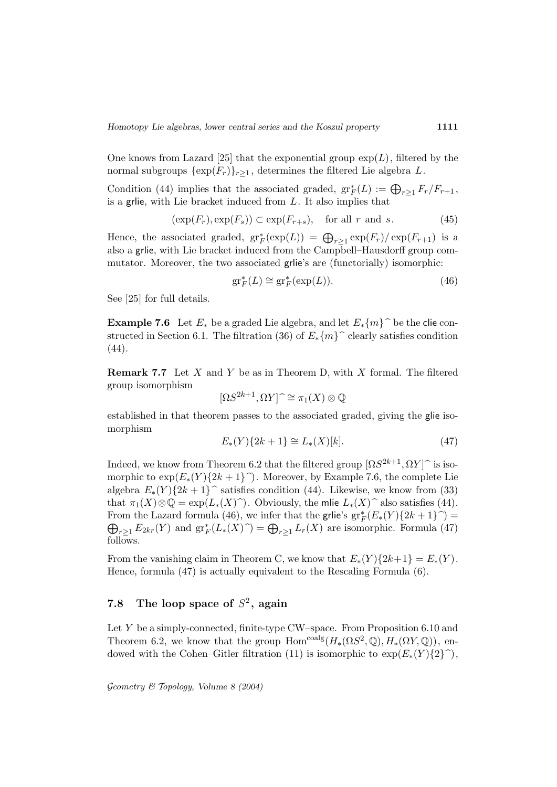One knows from Lazard [25] that the exponential group  $\exp(L)$ , filtered by the normal subgroups  $\{\exp(F_r)\}_{r\geq 1}$ , determines the filtered Lie algebra L.

Condition (44) implies that the associated graded,  $gr^*_{F}(L) := \bigoplus_{r \geq 1} F_r/F_{r+1}$ , is a grile, with Lie bracket induced from  $L$ . It also implies that

$$
(\exp(F_r), \exp(F_s)) \subset \exp(F_{r+s}), \quad \text{for all } r \text{ and } s. \tag{45}
$$

Hence, the associated graded,  $gr_F^*(exp(L)) = \bigoplus_{r\geq 1} exp(F_r)/exp(F_{r+1})$  is a also a grlie, with Lie bracket induced from the Campbell–Hausdorff group commutator. Moreover, the two associated grlie's are (functorially) isomorphic:

$$
\operatorname{gr}^*_F(L) \cong \operatorname{gr}^*_F(\exp(L)).\tag{46}
$$

See [25] for full details.

**Example 7.6** Let  $E_*$  be a graded Lie algebra, and let  $E_*{m}$  be the clie constructed in Section 6.1. The filtration (36) of  $E_*{m}$  clearly satisfies condition (44).

**Remark 7.7** Let X and Y be as in Theorem D, with X formal. The filtered group isomorphism

$$
[\Omega S^{2k+1}, \Omega Y] \,\,\hat{=} \,\,\pi_1(X) \otimes \mathbb{Q}
$$

established in that theorem passes to the associated graded, giving the glie isomorphism

$$
E_*(Y)\{2k+1\} \cong L_*(X)[k].\tag{47}
$$

Indeed, we know from Theorem 6.2 that the filtered group  $[\Omega S^{2k+1}, \Omega Y]$  is isomorphic to  $\exp(E_*(Y)\{2k+1\})$ . Moreover, by Example 7.6, the complete Lie algebra  $E_*(Y)\{2k+1\}$  satisfies condition (44). Likewise, we know from (33) that  $\pi_1(X)\otimes\mathbb{Q} = \exp(L_*(X)\hat{\ })$ . Obviously, the mlie  $L_*(X)\hat{\ }$  also satisfies (44). From the Lazard formula (46), we infer that the grile's  $gr^*_{F}(E_*(Y)\{2k+1\}) =$  $\bigoplus_{r\geq 1} E_{2kr}(Y)$  and  $gr^*_{F}(L_*(X) \widehat{\ }) = \bigoplus_{r\geq 1} L_r(X)$  are isomorphic. Formula (47) follows.

From the vanishing claim in Theorem C, we know that  $E_*(Y)\{2k+1\} = E_*(Y)$ . Hence, formula (47) is actually equivalent to the Rescaling Formula (6).

# **7.8** The loop space of  $S^2$ , again

Let  $Y$  be a simply-connected, finite-type CW–space. From Proposition 6.10 and Theorem 6.2, we know that the group  $\text{Hom}^{\text{coalg}}(H_*(\Omega S^2, \mathbb{Q}), H_*(\Omega Y, \mathbb{Q}))$ , endowed with the Cohen–Gitler filtration (11) is isomorphic to  $\exp(E_*(Y)\{2\})$ ,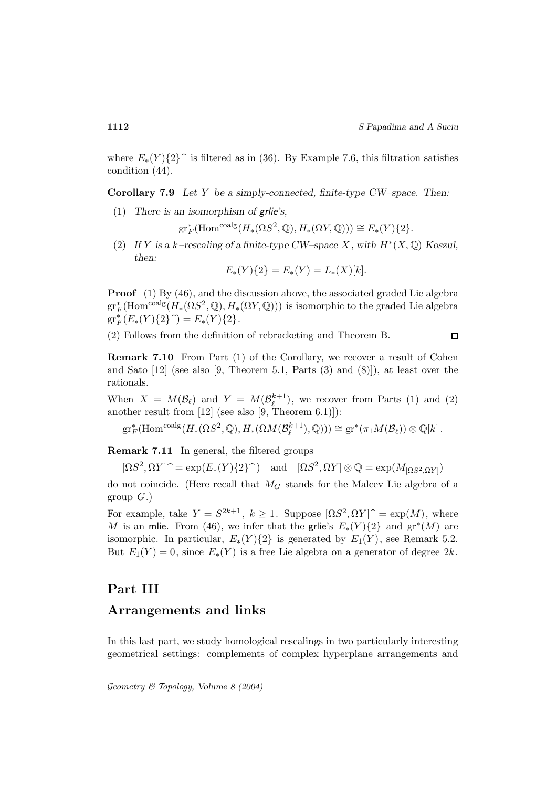where  $E_*(Y)\{2\}$  is filtered as in (36). By Example 7.6, this filtration satisfies condition (44).

**Corollary 7.9** *Let* Y *be a simply-connected, finite-type CW–space. Then:*

(1) *There is an isomorphism of* grlie*'s,*

 $gr_F^*(\text{Hom}^{\text{coalg}}(H_*(\Omega S^2, \mathbb{Q}), H_*(\Omega Y, \mathbb{Q}))) \cong E_*(Y)\{2\}.$ 

(2) If Y is a k-rescaling of a finite-type CW–space X, with  $H^*(X, \mathbb{Q})$  Koszul, *then:*

$$
E_*(Y)\{2\} = E_*(Y) = L_*(X)[k].
$$

**Proof** (1) By (46), and the discussion above, the associated graded Lie algebra  $\mathrm{gr}^*_F(\mathrm{Hom}^{\mathrm{coalg}}(H_*(\Omega S^2,\mathbb{Q}),H_*(\Omega Y,\mathbb{Q})))$  is isomorphic to the graded Lie algebra  $gr_F^*(E_*(Y){2}^{\frown}) = E_*(Y){2}.$ 

(2) Follows from the definition of rebracketing and Theorem B.

 $\Box$ 

**Remark 7.10** From Part (1) of the Corollary, we recover a result of Cohen and Sato [12] (see also [9, Theorem 5.1, Parts (3) and (8)]), at least over the rationals.

When  $X = M(\mathcal{B}_{\ell})$  and  $Y = M(\mathcal{B}_{\ell}^{k+1})$ , we recover from Parts (1) and (2) another result from  $[12]$  (see also  $[9,$  Theorem 6.1)]):

 $gr_F^*(\text{Hom}^{\text{coalg}}(H_*(\Omega S^2, \mathbb{Q}), H_*(\Omega M(\mathcal{B}_\ell^{k+1}), \mathbb{Q}))) \cong gr^*(\pi_1 M(\mathcal{B}_\ell)) \otimes \mathbb{Q}[k].$ 

**Remark 7.11** In general, the filtered groups

 $[\Omega S^2, \Omega Y]$ <sup> $\sim$ </sup> = exp( $E_*(Y){2}$ ) and  $[\Omega S^2, \Omega Y]$  ⊗ Q = exp( $M_{[\Omega S^2, \Omega Y]}$ )

do not coincide. (Here recall that  $M_G$  stands for the Malcev Lie algebra of a group  $G.$ )

For example, take  $Y = S^{2k+1}$ ,  $k \ge 1$ . Suppose  $\left[\Omega S^2, \Omega Y\right] \hat{ } = \exp(M)$ , where M is an mlie. From (46), we infer that the grile's  $E_*(Y)\{2\}$  and  $gr^*(M)$  are isomorphic. In particular,  $E_*(Y)\{2\}$  is generated by  $E_1(Y)$ , see Remark 5.2. But  $E_1(Y) = 0$ , since  $E_*(Y)$  is a free Lie algebra on a generator of degree  $2k$ .

## **Part III**

### **Arrangements and links**

In this last part, we study homological rescalings in two particularly interesting geometrical settings: complements of complex hyperplane arrangements and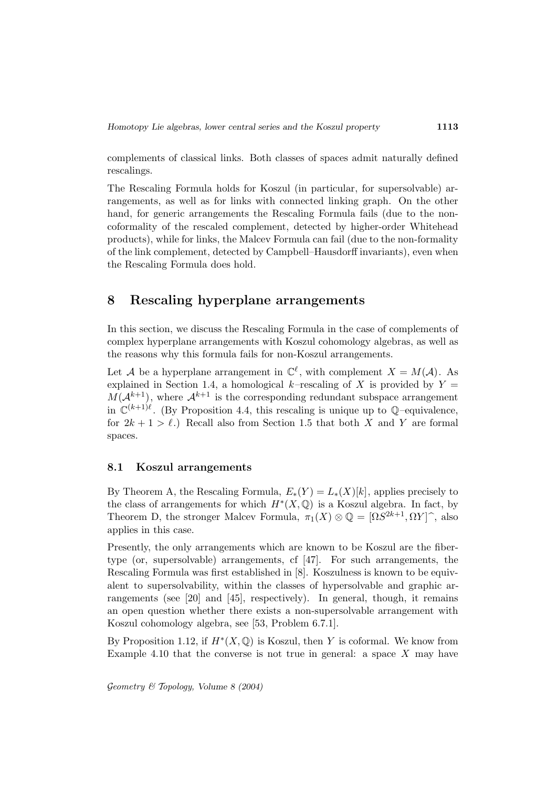complements of classical links. Both classes of spaces admit naturally defined rescalings.

The Rescaling Formula holds for Koszul (in particular, for supersolvable) arrangements, as well as for links with connected linking graph. On the other hand, for generic arrangements the Rescaling Formula fails (due to the noncoformality of the rescaled complement, detected by higher-order Whitehead products), while for links, the Malcev Formula can fail (due to the non-formality of the link complement, detected by Campbell–Hausdorff invariants), even when the Rescaling Formula does hold.

# **8 Rescaling hyperplane arrangements**

In this section, we discuss the Rescaling Formula in the case of complements of complex hyperplane arrangements with Koszul cohomology algebras, as well as the reasons why this formula fails for non-Koszul arrangements.

Let A be a hyperplane arrangement in  $\mathbb{C}^{\ell}$ , with complement  $X = M(\mathcal{A})$ . As explained in Section 1.4, a homological k–rescaling of X is provided by  $Y =$  $M(\mathcal{A}^{k+1})$ , where  $\mathcal{A}^{k+1}$  is the corresponding redundant subspace arrangement in  $\mathbb{C}^{(k+1)\ell}$ . (By Proposition 4.4, this rescaling is unique up to  $\mathbb{O}$ –equivalence, for  $2k + 1 > \ell$ .) Recall also from Section 1.5 that both X and Y are formal spaces.

### **8.1 Koszul arrangements**

By Theorem A, the Rescaling Formula,  $E_*(Y) = L_*(X)[k]$ , applies precisely to the class of arrangements for which  $H^*(X, \mathbb{Q})$  is a Koszul algebra. In fact, by Theorem D, the stronger Malcev Formula,  $\pi_1(X) \otimes \mathbb{Q} = [\Omega S^{2k+1}, \Omega Y]^{\hat{}}$ , also applies in this case.

Presently, the only arrangements which are known to be Koszul are the fibertype (or, supersolvable) arrangements, cf [47]. For such arrangements, the Rescaling Formula was first established in [8]. Koszulness is known to be equivalent to supersolvability, within the classes of hypersolvable and graphic arrangements (see [20] and [45], respectively). In general, though, it remains an open question whether there exists a non-supersolvable arrangement with Koszul cohomology algebra, see [53, Problem 6.7.1].

By Proposition 1.12, if  $H^*(X, \mathbb{Q})$  is Koszul, then Y is coformal. We know from Example 4.10 that the converse is not true in general: a space  $X$  may have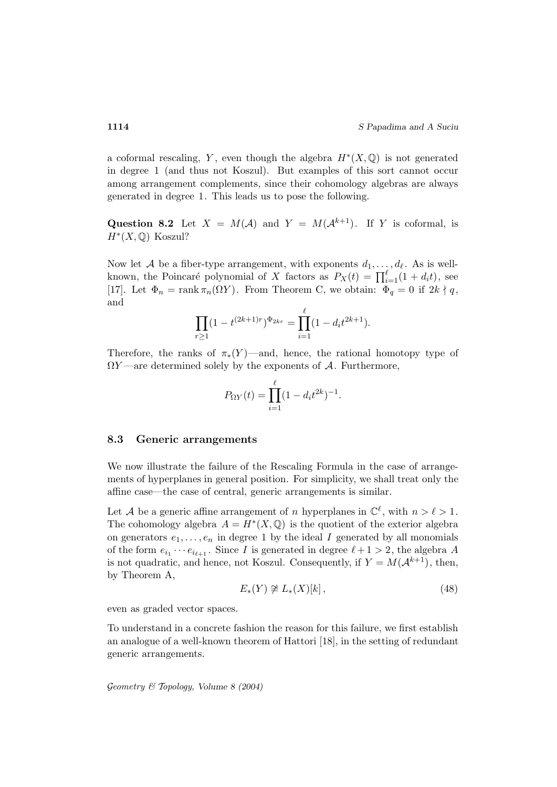a coformal rescaling, Y, even though the algebra  $H^*(X, \mathbb{Q})$  is not generated in degree 1 (and thus not Koszul). But examples of this sort cannot occur among arrangement complements, since their cohomology algebras are always generated in degree 1. This leads us to pose the following.

**Question 8.2** Let  $X = M(A)$  and  $Y = M(A^{k+1})$ . If Y is coformal, is  $H^*(X,\mathbb{Q})$  Koszul?

Now let A be a fiber-type arrangement, with exponents  $d_1, \ldots, d_\ell$ . As is wellknown, the Poincaré polynomial of X factors as  $P_X(t) = \prod_{i=1}^{\ell} (1 + d_i t)$ , see [17]. Let  $\Phi_n = \text{rank } \pi_n(\Omega Y)$ . From Theorem C, we obtain:  $\Phi_q = 0$  if  $2k \nmid q$ , and

$$
\prod_{r\geq 1} (1-t^{(2k+1)r})^{\Phi_{2kr}} = \prod_{i=1}^{\ell} (1-d_i t^{2k+1}).
$$

Therefore, the ranks of  $\pi_*(Y)$ —and, hence, the rational homotopy type of  $\Omega Y$  —are determined solely by the exponents of A. Furthermore,

$$
P_{\Omega Y}(t) = \prod_{i=1}^{\ell} (1 - d_i t^{2k})^{-1}.
$$

#### **8.3 Generic arrangements**

We now illustrate the failure of the Rescaling Formula in the case of arrangements of hyperplanes in general position. For simplicity, we shall treat only the affine case—the case of central, generic arrangements is similar.

Let A be a generic affine arrangement of n hyperplanes in  $\mathbb{C}^{\ell}$ , with  $n>\ell>1$ . The cohomology algebra  $A = H^*(X, \mathbb{Q})$  is the quotient of the exterior algebra on generators  $e_1, \ldots, e_n$  in degree 1 by the ideal I generated by all monomials of the form  $e_{i_1} \cdots e_{i_{\ell+1}}$ . Since I is generated in degree  $\ell + 1 > 2$ , the algebra A is not quadratic, and hence, not Koszul. Consequently, if  $Y = M(\mathcal{A}^{k+1})$ , then, by Theorem A,

$$
E_*(Y) \ncong L_*(X)[k], \tag{48}
$$

even as graded vector spaces.

To understand in a concrete fashion the reason for this failure, we first establish an analogue of a well-known theorem of Hattori [18], in the setting of redundant generic arrangements.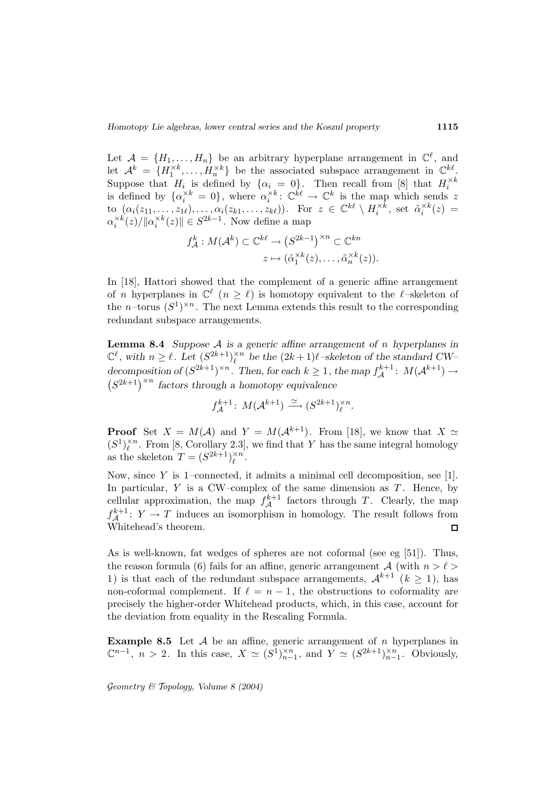Let  $\mathcal{A} = \{H_1, \ldots, H_n\}$  be an arbitrary hyperplane arrangement in  $\mathbb{C}^{\ell}$ , and let  $\mathcal{A}^k = \{H_1^{\times k}, \ldots, H_n^{\times k}\}\$  be the associated subspace arrangement in  $\mathbb{C}^{k\ell}$ . Suppose that  $H_i$  is defined by  $\{\alpha_i = 0\}$ . Then recall from [8] that  $H_i^{\times k}$  is defined by  $\{\alpha_i^{\times k} = 0\}$ , where  $\alpha_i^{\times k}$ :  $\mathbb{C}^{k\ell} \to \mathbb{C}^k$  is the map which sends z to  $(\alpha_i(z_{11},\ldots,z_{1\ell}),\ldots,\alpha_i(z_{k1},\ldots,z_{k\ell}))$ . For  $z \in \mathbb{C}^{k\ell} \setminus H_i^{\times k}$ , set  $\tilde{\alpha}_i^{\times k}(z) =$  $\alpha_i^{\times k}(z)/\|\alpha_i^{\times k}(z)\| \in S^{2k-1}$ . Now define a map

$$
f_{\mathcal{A}}^{k}: M(\mathcal{A}^{k}) \subset \mathbb{C}^{k\ell} \to (S^{2k-1})^{\times n} \subset \mathbb{C}^{kn}
$$

$$
z \mapsto (\tilde{\alpha}_{1}^{\times k}(z), \dots, \tilde{\alpha}_{n}^{\times k}(z)).
$$

In [18], Hattori showed that the complement of a generic affine arrangement of n hyperplanes in  $\mathbb{C}^{\ell}$  ( $n \geq \ell$ ) is homotopy equivalent to the  $\ell$ –skeleton of the *n*–torus  $(S^1)^{\times n}$ . The next Lemma extends this result to the corresponding redundant subspace arrangements.

**Lemma 8.4** *Suppose* A *is a generic affine arrangement of* n *hyperplanes in*  $\mathbb{C}^{\ell}$ , with  $n \geq \ell$ . Let  $(S^{2k+1})_{\ell}^{\times n}$  be the  $(2k+1)\ell$ -skeleton of the standard CW– decomposition of  $(S^{2k+1})^{\times n}$ . Then, for each  $k \geq 1$ , the map  $f_A^{k+1}$ :  $M(A^{k+1}) \to$ <br> $(S^{2k+1})^{\times n}$  factors through a homotopy equivalence  $(S^{2k+1})^{\times n}$  *factors through a homotopy equivalence* 

$$
f_{\mathcal{A}}^{k+1} \colon M(\mathcal{A}^{k+1}) \xrightarrow{\simeq} (S^{2k+1})_{\ell}^{\times n}.
$$

**Proof** Set  $X = M(\mathcal{A})$  and  $Y = M(\mathcal{A}^{k+1})$ . From [18], we know that  $X \simeq$  $(S^1)_\ell^{\times n}$ . From [8, Corollary 2.3], we find that Y has the same integral homology as the skeleton  $T = (S^{2k+1})_{\ell}^{\times n}$ .

Now, since  $Y$  is 1–connected, it admits a minimal cell decomposition, see [1]. In particular,  $Y$  is a CW–complex of the same dimension as  $T$ . Hence, by cellular approximation, the map  $f_{\mathcal{A}}^{k+1}$  factors through T. Clearly, the map  $f_{\mathcal{A}}^{k+1}$ :  $Y \to T$  induces an isomorphism in homology. The result follows from Whitehead's theorem.  $\Box$ 

As is well-known, fat wedges of spheres are not coformal (see eg [51]). Thus, the reason formula (6) fails for an affine, generic arrangement A (with  $n>\ell>$ 1) is that each of the redundant subspace arrangements,  $\mathcal{A}^{k+1}$   $(k \geq 1)$ , has non-coformal complement. If  $\ell = n - 1$ , the obstructions to coformality are precisely the higher-order Whitehead products, which, in this case, account for the deviation from equality in the Rescaling Formula.

**Example 8.5** Let  $A$  be an affine, generic arrangement of  $n$  hyperplanes in  $\mathbb{C}^{n-1}$ ,  $n > 2$ . In this case,  $X \simeq (S^1)_{n-1}^{\times n}$ , and  $Y \simeq (S^{2k+1})_{n-1}^{\times n}$ . Obviously,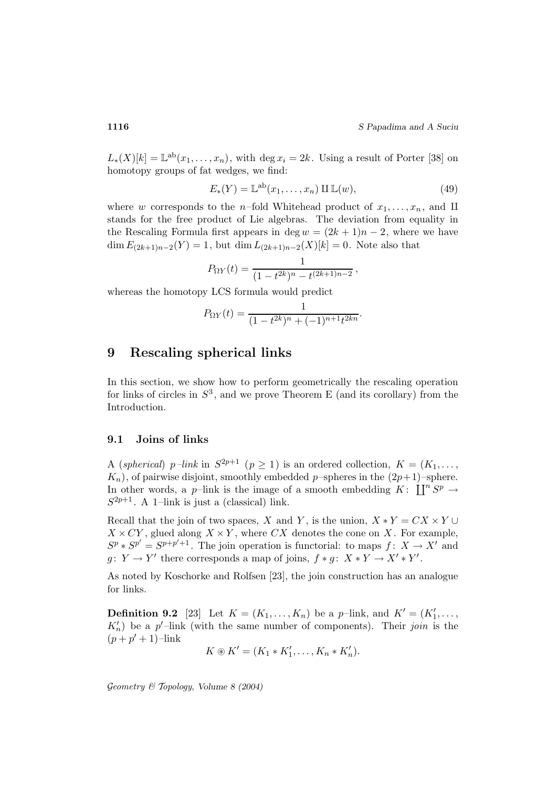$L_*(X)[k] = \mathbb{L}^{ab}(x_1,\ldots,x_n)$ , with deg  $x_i = 2k$ . Using a result of Porter [38] on homotopy groups of fat wedges, we find:

$$
E_*(Y) = \mathbb{L}^{ab}(x_1, \dots, x_n) \amalg \mathbb{L}(w),\tag{49}
$$

where w corresponds to the *n*-fold Whitehead product of  $x_1, \ldots, x_n$ , and II stands for the free product of Lie algebras. The deviation from equality in the Rescaling Formula first appears in deg  $w = (2k + 1)n - 2$ , where we have  $\dim E_{(2k+1)n-2}(Y) = 1$ , but  $\dim L_{(2k+1)n-2}(X)[k] = 0$ . Note also that

$$
P_{\Omega Y}(t) = \frac{1}{(1 - t^{2k})^n - t^{(2k+1)n-2}},
$$

whereas the homotopy LCS formula would predict

$$
P_{\Omega Y}(t) = \frac{1}{(1 - t^{2k})^n + (-1)^{n+1} t^{2kn}}.
$$

# **9 Rescaling spherical links**

In this section, we show how to perform geometrically the rescaling operation for links of circles in  $S^3$ , and we prove Theorem E (and its corollary) from the Introduction.

### **9.1 Joins of links**

A (spherical) p–link in  $S^{2p+1}$  ( $p \ge 1$ ) is an ordered collection,  $K = (K_1, \ldots, K_n)$  $K_n$ , of pairwise disjoint, smoothly embedded p-spheres in the  $(2p+1)$ -sphere. In other words, a p–link is the image of a smooth embedding  $K: \prod^n S^p \to$  $S^{2p+1}$ . A 1-link is just a (classical) link.

Recall that the join of two spaces, X and Y, is the union,  $X * Y = CX \times Y \cup$  $X \times CY$ , glued along  $X \times Y$ , where CX denotes the cone on X. For example,  $S^p * S^{p'} = S^{p+p'+1}$ . The join operation is functorial: to maps  $f: X \to X'$  and  $g: Y \to Y'$  there corresponds a map of joins,  $f * g: X * Y \to X' * Y'$ .

As noted by Koschorke and Rolfsen [23], the join construction has an analogue for links.

**Definition 9.2** [23] Let  $K = (K_1, ..., K_n)$  be a p-link, and  $K' = (K'_1, ..., K_n)$  $K_n'$ ) be a p'-link (with the same number of components). Their join is the  $(p + p' + 1)$ –link

$$
K \circledast K' = (K_1 * K'_1, \ldots, K_n * K'_n).
$$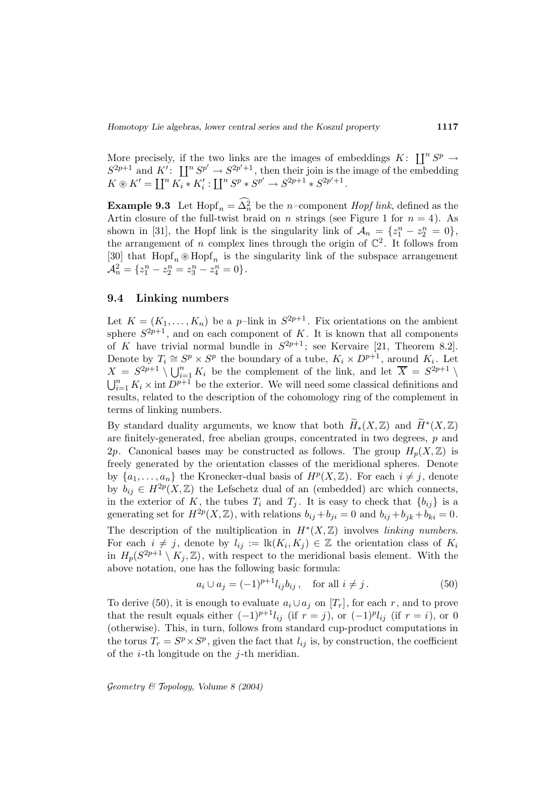More precisely, if the two links are the images of embeddings  $K: \prod^n S^p \to$  $S^{2p+1}$  and  $K'$ :  $\prod^n S^{p'} \to S^{2p'+1}$ , then their join is the image of the embedding  $K \circledast K' = \coprod^n K_i * K'_i : \coprod^n S^p * S^{p'} \to S^{2p+1} * S^{2p'+1}.$ 

**Example 9.3** Let  $\text{Hopf}_n = \Delta_n^2$  be the *n*-component *Hopf link*, defined as the Artin closure of the full-twist braid on n strings (see Figure 1 for  $n = 4$ ). As shown in [31], the Hopf link is the singularity link of  $\mathcal{A}_n = \{z_1^n - z_2^n = 0\},\$ the arrangement of n complex lines through the origin of  $\mathbb{C}^2$ . It follows from [30] that  $\text{Hopf}_n \otimes \text{Hopf}_n$  is the singularity link of the subspace arrangement  $\mathcal{A}_n^2 = \{z_1^n - z_2^n = z_3^n - z_4^n = 0\}.$ 

#### **9.4 Linking numbers**

Let  $K = (K_1, \ldots, K_n)$  be a p-link in  $S^{2p+1}$ . Fix orientations on the ambient sphere  $S^{2p+1}$ , and on each component of K. It is known that all components of K have trivial normal bundle in  $S^{2p+1}$ ; see Kervaire [21, Theorem 8.2]. Denote by  $T_i \cong S^p \times S^p$  the boundary of a tube,  $K_i \times D^{p+1}$ , around  $K_i$ . Let  $X = S^{2p+1} \setminus \bigcup_{i=1}^n K_i$  be the complement of the link, and let  $\overline{X} = S^{2p+1} \setminus$  $\bigcup_{i=1}^n K_i \times \text{int } D^{p+1}$  be the exterior. We will need some classical definitions and results, related to the description of the cohomology ring of the complement in terms of linking numbers.

By standard duality arguments, we know that both  $\widetilde{H}_*(X,\mathbb{Z})$  and  $\widetilde{H}^*(X,\mathbb{Z})$ are finitely-generated, free abelian groups, concentrated in two degrees, p and 2p. Canonical bases may be constructed as follows. The group  $H_p(X,\mathbb{Z})$  is freely generated by the orientation classes of the meridional spheres. Denote by  $\{a_1,\ldots,a_n\}$  the Kronecker-dual basis of  $H^p(X,\mathbb{Z})$ . For each  $i \neq j$ , denote by  $b_{ij} \in H^{2p}(X,\mathbb{Z})$  the Lefschetz dual of an (embedded) arc which connects, in the exterior of K, the tubes  $T_i$  and  $T_j$ . It is easy to check that  $\{b_{ij}\}\$ is a generating set for  $H^{2p}(X,\mathbb{Z})$ , with relations  $b_{ij}+b_{ji}=0$  and  $b_{ij}+b_{jk}+b_{ki}=0$ . The description of the multiplication in  $H^*(X,\mathbb{Z})$  involves linking numbers. For each  $i \neq j$ , denote by  $l_{ij} := \text{lk}(K_i, K_j) \in \mathbb{Z}$  the orientation class of  $K_i$ in  $H_p(S^{2p+1} \setminus K_j, \mathbb{Z})$ , with respect to the meridional basis element. With the above notation, one has the following basic formula:

$$
a_i \cup a_j = (-1)^{p+1} l_{ij} b_{ij}, \quad \text{for all } i \neq j. \tag{50}
$$

To derive (50), it is enough to evaluate  $a_i \cup a_j$  on  $[T_r]$ , for each r, and to prove that the result equals either  $(-1)^{p+1}l_{ij}$  (if  $r = j$ ), or  $(-1)^{p}l_{ij}$  (if  $r = i$ ), or 0 (otherwise). This, in turn, follows from standard cup-product computations in the torus  $T_r = S^p \times S^p$ , given the fact that  $l_{ij}$  is, by construction, the coefficient of the  $i$ -th longitude on the  $j$ -th meridian.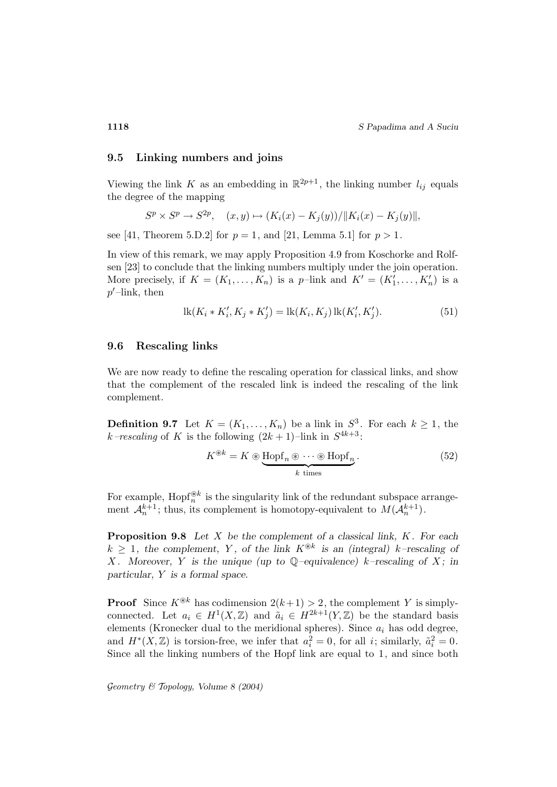#### **9.5 Linking numbers and joins**

Viewing the link K as an embedding in  $\mathbb{R}^{2p+1}$ , the linking number  $l_{ij}$  equals the degree of the mapping

$$
S^p \times S^p \to S^{2p}, \quad (x, y) \mapsto (K_i(x) - K_j(y)) / ||K_i(x) - K_j(y)||,
$$

see [41, Theorem 5.D.2] for  $p = 1$ , and [21, Lemma 5.1] for  $p > 1$ .

In view of this remark, we may apply Proposition 4.9 from Koschorke and Rolfsen [23] to conclude that the linking numbers multiply under the join operation. More precisely, if  $K = (K_1, \ldots, K_n)$  is a p-link and  $K' = (K'_1, \ldots, K'_n)$  is a  $p'$ -link, then

$$
lk(K_i * K'_i, K_j * K'_j) = lk(K_i, K_j) lk(K'_i, K'_j).
$$
 (51)

#### **9.6 Rescaling links**

We are now ready to define the rescaling operation for classical links, and show that the complement of the rescaled link is indeed the rescaling of the link complement.

**Definition 9.7** Let  $K = (K_1, \ldots, K_n)$  be a link in  $S^3$ . For each  $k \geq 1$ , the k–rescaling of K is the following  $(2k + 1)$ –link in  $S^{4k+3}$ :

$$
K^{\circledast k} = K \circledast \underbrace{\text{Hopf}_n \circledast \cdots \circledast \text{Hopf}_n}_{k \text{ times}}.
$$
 (52)

For example,  $\text{Hopf}_{n}^{\circledast k}$  is the singularity link of the redundant subspace arrangement  $\mathcal{A}_n^{k+1}$ ; thus, its complement is homotopy-equivalent to  $M(\mathcal{A}_n^{k+1})$ .

**Proposition 9.8** *Let* X *be the complement of a classical link,* K*. For each*  $k \geq 1$ , the complement, Y, of the link  $K^{\otimes k}$  is an (integral) k–rescaling of X. Moreover, Y is the unique (up to  $\mathbb{Q}$ -equivalence) k-rescaling of X; in *particular,* Y *is a formal space.*

**Proof** Since  $K^{\circledast k}$  has codimension  $2(k+1) > 2$ , the complement Y is simplyconnected. Let  $a_i \in H^1(X,\mathbb{Z})$  and  $\tilde{a}_i \in H^{2k+1}(Y,\mathbb{Z})$  be the standard basis elements (Kronecker dual to the meridional spheres). Since  $a_i$  has odd degree, and  $H^*(X,\mathbb{Z})$  is torsion-free, we infer that  $a_i^2=0$ , for all *i*; similarly,  $\tilde{a}_i^2=0$ . Since all the linking numbers of the Hopf link are equal to 1, and since both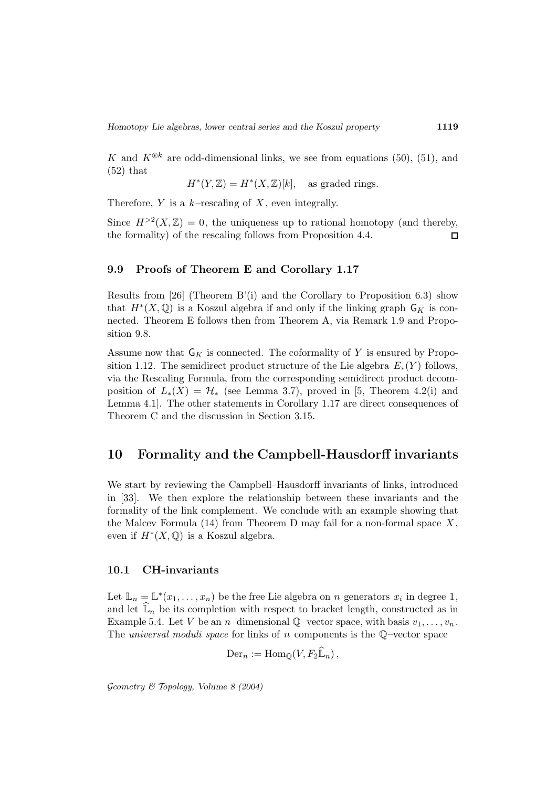K and  $K^{\circledast k}$  are odd-dimensional links, we see from equations (50), (51), and  $(52)$  that

$$
H^*(Y,\mathbb{Z}) = H^*(X,\mathbb{Z})[k], \quad \text{as graded rings.}
$$

Therefore,  $Y$  is a  $k$ -rescaling of  $X$ , even integrally.

Since  $H^{>2}(X,\mathbb{Z})=0$ , the uniqueness up to rational homotopy (and thereby, the formality) of the rescaling follows from Proposition 4.4.  $\Box$ 

#### **9.9 Proofs of Theorem E and Corollary 1.17**

Results from [26] (Theorem B'(i) and the Corollary to Proposition 6.3) show that  $H^*(X, \mathbb{Q})$  is a Koszul algebra if and only if the linking graph  $\mathsf{G}_K$  is connected. Theorem E follows then from Theorem A, via Remark 1.9 and Proposition 9.8.

Assume now that  $G_K$  is connected. The coformality of Y is ensured by Proposition 1.12. The semidirect product structure of the Lie algebra  $E_*(Y)$  follows, via the Rescaling Formula, from the corresponding semidirect product decomposition of  $L_*(X) = \mathcal{H}_*$  (see Lemma 3.7), proved in [5, Theorem 4.2(i) and Lemma 4.1]. The other statements in Corollary 1.17 are direct consequences of Theorem C and the discussion in Section 3.15.

## **10 Formality and the Campbell-Hausdorff invariants**

We start by reviewing the Campbell–Hausdorff invariants of links, introduced in [33]. We then explore the relationship between these invariants and the formality of the link complement. We conclude with an example showing that the Malcev Formula  $(14)$  from Theorem D may fail for a non-formal space X, even if  $H^*(X, \mathbb{Q})$  is a Koszul algebra.

#### **10.1 CH-invariants**

Let  $\mathbb{L}_n = \mathbb{L}^*(x_1,\ldots,x_n)$  be the free Lie algebra on n generators  $x_i$  in degree 1, and let  $\mathbb{L}_n$  be its completion with respect to bracket length, constructed as in Example 5.4. Let V be an *n*-dimensional Q-vector space, with basis  $v_1, \ldots, v_n$ . The *universal moduli space* for links of n components is the  $\mathbb{Q}$ -vector space

 $\text{Der}_n := \text{Hom}_{\mathbb{Q}}(V, F_2 \widehat{\mathbb{L}}_n),$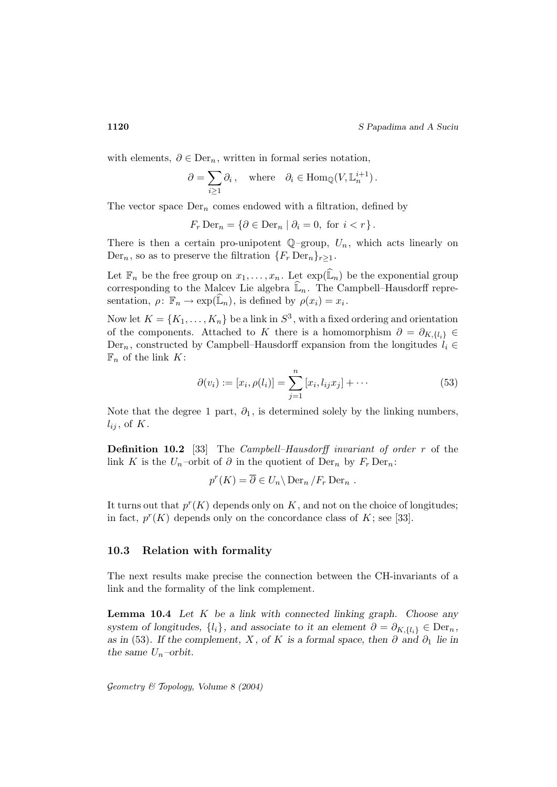with elements,  $\partial \in \text{Der}_n$ , written in formal series notation,

$$
\partial = \sum_{i \ge 1} \partial_i, \quad \text{where} \quad \partial_i \in \text{Hom}_{\mathbb{Q}}(V, \mathbb{L}_n^{i+1}).
$$

The vector space  $Der_n$  comes endowed with a filtration, defined by

$$
F_r \operatorname{Der}_n = \{ \partial \in \operatorname{Der}_n \mid \partial_i = 0, \text{ for } i < r \}.
$$

There is then a certain pro-unipotent  $\mathbb{Q}$ -group,  $U_n$ , which acts linearly on  $Der_n$ , so as to preserve the filtration  $\{F_r Der_n\}_{r>1}$ .

Let  $\mathbb{F}_n$  be the free group on  $x_1,\ldots,x_n$ . Let  $\exp(\widehat{\mathbb{L}}_n)$  be the exponential group corresponding to the Malcev Lie algebra  $\widehat{\mathbb{L}}_n$ . The Campbell–Hausdorff representation,  $\rho \colon \mathbb{F}_n \to \exp(\widehat{\mathbb{L}}_n)$ , is defined by  $\rho(x_i) = x_i$ .

Now let  $K = \{K_1, \ldots, K_n\}$  be a link in  $S^3$ , with a fixed ordering and orientation of the components. Attached to K there is a homomorphism  $\partial = \partial_{K,\{l_i\}} \in$ Der<sub>n</sub>, constructed by Campbell–Hausdorff expansion from the longitudes  $l_i \in$  $\mathbb{F}_n$  of the link K:

$$
\partial(v_i) := [x_i, \rho(l_i)] = \sum_{j=1}^n [x_i, l_{ij}x_j] + \cdots
$$
\n(53)

Note that the degree 1 part,  $\partial_1$ , is determined solely by the linking numbers,  $l_{ij}$ , of K.

**Definition 10.2** [33] The *Campbell–Hausdorff invariant of order r* of the link K is the  $U_n$ -orbit of  $\partial$  in the quotient of Der<sub>n</sub> by  $F_r$  Der<sub>n</sub>:

$$
p^{r}(K) = \overline{\partial} \in U_n \backslash \operatorname{Der}_n / F_r \operatorname{Der}_n .
$$

It turns out that  $p^{r}(K)$  depends only on K, and not on the choice of longitudes; in fact,  $p^{r}(K)$  depends only on the concordance class of K; see [33].

#### **10.3 Relation with formality**

The next results make precise the connection between the CH-invariants of a link and the formality of the link complement.

**Lemma 10.4** *Let* K *be a link with connected linking graph. Choose any system of longitudes,*  $\{l_i\}$ *, and associate to it an element*  $\partial = \partial_{K,\{l_i\}} \in \text{Der}_n$ *, as in* (53). If the complement, X, of K is a formal space, then  $\partial$  and  $\partial_1$  lie in *the same*  $U_n$ -orbit.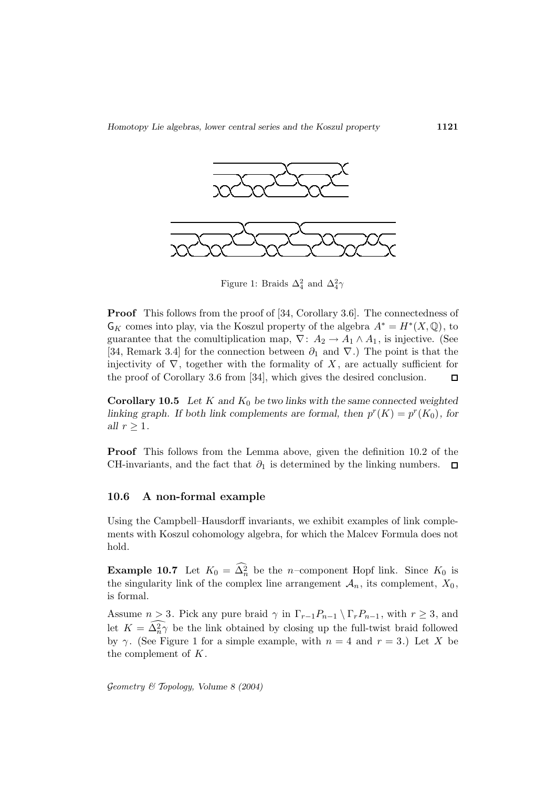

Figure 1: Braids  $\Delta_4^2$  and  $\Delta_4^2\gamma$ 

**Proof** This follows from the proof of [34, Corollary 3.6]. The connectedness of  $G_K$  comes into play, via the Koszul property of the algebra  $A^* = H^*(X, \mathbb{Q})$ , to guarantee that the comultiplication map,  $\nabla: A_2 \to A_1 \wedge A_1$ , is injective. (See [34, Remark 3.4] for the connection between  $\partial_1$  and  $\nabla$ .) The point is that the injectivity of  $\nabla$ , together with the formality of X, are actually sufficient for the proof of Corollary 3.6 from [34], which gives the desired conclusion.  $\Box$ 

**Corollary 10.5** *Let* K *and* K<sup>0</sup> *be two links with the same connected weighted linking graph. If both link complements are formal, then*  $p^{r}(K) = p^{r}(K_0)$ *, for all*  $r \geq 1$ *.* 

**Proof** This follows from the Lemma above, given the definition 10.2 of the CH-invariants, and the fact that  $\partial_1$  is determined by the linking numbers.  $\Box$ 

### **10.6 A non-formal example**

Using the Campbell–Hausdorff invariants, we exhibit examples of link complements with Koszul cohomology algebra, for which the Malcev Formula does not hold.

**Example 10.7** Let  $K_0 = \Delta_n^2$  be the n–component Hopf link. Since  $K_0$  is the singularity link of the complex line arrangement  $\mathcal{A}_n$ , its complement,  $X_0$ , is formal.

Assume  $n > 3$ . Pick any pure braid  $\gamma$  in  $\Gamma_{r-1}P_{n-1} \setminus \Gamma_rP_{n-1}$ , with  $r \geq 3$ , and let  $K = \Delta_n^2 \gamma$  be the link obtained by closing up the full-twist braid followed by  $\gamma$ . (See Figure 1 for a simple example, with  $n = 4$  and  $r = 3$ .) Let X be the complement of  $K$ .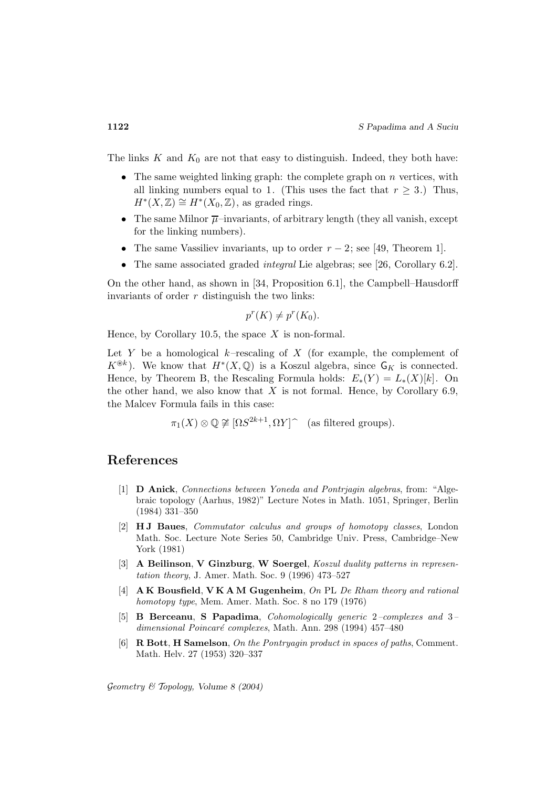The links  $K$  and  $K_0$  are not that easy to distinguish. Indeed, they both have:

- The same weighted linking graph: the complete graph on  $n$  vertices, with all linking numbers equal to 1. (This uses the fact that  $r \geq 3$ .) Thus,  $H^*(X,\mathbb{Z}) \cong H^*(X_0,\mathbb{Z})$ , as graded rings.
- The same Milnor  $\overline{\mu}$ –invariants, of arbitrary length (they all vanish, except for the linking numbers).
- The same Vassiliev invariants, up to order  $r-2$ ; see [49, Theorem 1].
- The same associated graded *integral* Lie algebras; see [26, Corollary 6.2].

On the other hand, as shown in [34, Proposition 6.1], the Campbell–Hausdorff invariants of order  $r$  distinguish the two links:

$$
p^r(K) \neq p^r(K_0).
$$

Hence, by Corollary 10.5, the space  $X$  is non-formal.

Let Y be a homological  $k$ -rescaling of X (for example, the complement of  $K^{\circledast k}$ ). We know that  $H^*(X, \mathbb{Q})$  is a Koszul algebra, since  $\mathsf{G}_K$  is connected. Hence, by Theorem B, the Rescaling Formula holds:  $E_*(Y) = L_*(X)[k]$ . On the other hand, we also know that  $X$  is not formal. Hence, by Corollary 6.9, the Malcev Formula fails in this case:

$$
\pi_1(X) \otimes \mathbb{Q} \not\cong [\Omega S^{2k+1}, \Omega Y] \hat{\ }
$$
 (as filtered groups).

## **References**

- [1] **D Anick**, Connections between Yoneda and Pontrjagin algebras, from: "Algebraic topology (Aarhus, 1982)" Lecture Notes in Math. 1051, Springer, Berlin (1984) 331–350
- [2] **H J Baues**, Commutator calculus and groups of homotopy classes, London Math. Soc. Lecture Note Series 50, Cambridge Univ. Press, Cambridge–New York (1981)
- [3] **A Beilinson**, **V Ginzburg**, **W Soergel**, Koszul duality patterns in representation theory, J. Amer. Math. Soc. 9 (1996) 473–527
- [4] **A K Bousfield**, **V K A M Gugenheim**, On PL De Rham theory and rational homotopy type, Mem. Amer. Math. Soc. 8 no 179 (1976)
- [5] **B Berceanu**, **S Papadima**, Cohomologically generic 2–complexes and 3– dimensional Poincaré complexes, Math. Ann. 298 (1994) 457-480
- [6] **R Bott**, **H Samelson**, On the Pontryagin product in spaces of paths, Comment. Math. Helv. 27 (1953) 320–337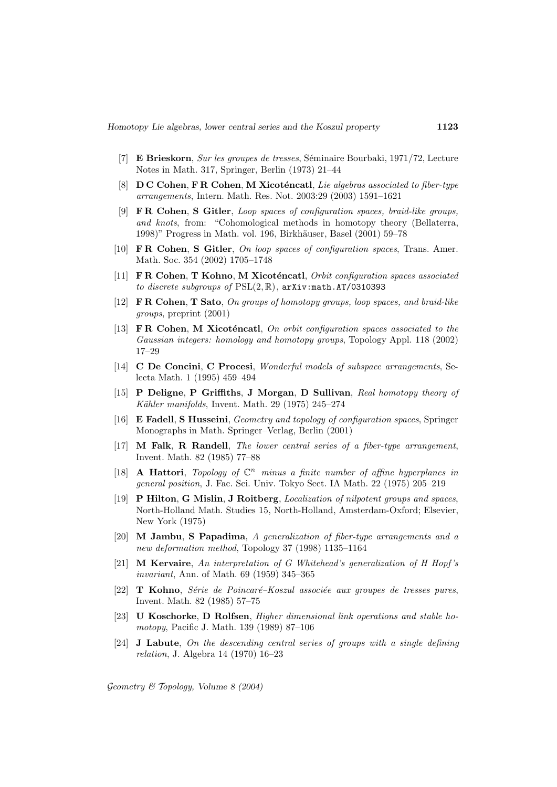- [7] **E Brieskorn**, Sur les groupes de tresses, Séminaire Bourbaki, 1971/72, Lecture Notes in Math. 317, Springer, Berlin (1973) 21–44
- [8] **D C Cohen, F R Cohen, M Xicoténcatl**, Lie algebras associated to fiber-type arrangements, Intern. Math. Res. Not. 2003:29 (2003) 1591–1621
- [9] **F R Cohen**, **S Gitler**, Loop spaces of configuration spaces, braid-like groups, and knots, from: "Cohomological methods in homotopy theory (Bellaterra, 1998)" Progress in Math. vol. 196, Birkhäuser, Basel (2001) 59–78
- [10] **F R Cohen**, **S Gitler**, On loop spaces of configuration spaces, Trans. Amer. Math. Soc. 354 (2002) 1705–1748
- [11] **F R Cohen**, **T Kohno**, **M Xicot´encatl**, Orbit configuration spaces associated to discrete subgroups of  $PSL(2, \mathbb{R})$ , arXiv:math.AT/0310393
- [12] **F R Cohen**, **T Sato**, On groups of homotopy groups, loop spaces, and braid-like groups, preprint (2001)
- [13] **FR Cohen**, **M Xicoténcatl**, On orbit configuration spaces associated to the Gaussian integers: homology and homotopy groups, Topology Appl. 118 (2002) 17–29
- [14] **C De Concini**, **C Procesi**, Wonderful models of subspace arrangements, Selecta Math. 1 (1995) 459–494
- [15] **P Deligne**, **P Griffiths**, **J Morgan**, **D Sullivan**, Real homotopy theory of Kähler manifolds, Invent. Math. 29 (1975) 245–274
- [16] **E Fadell**, **S Husseini**, Geometry and topology of configuration spaces, Springer Monographs in Math. Springer–Verlag, Berlin (2001)
- [17] **M Falk**, **R Randell**, The lower central series of a fiber-type arrangement, Invent. Math. 82 (1985) 77–88
- [18] **A Hattori**, Topology of  $\mathbb{C}^n$  minus a finite number of affine hyperplanes in general position, J. Fac. Sci. Univ. Tokyo Sect. IA Math. 22 (1975) 205–219
- [19] **P Hilton**, **G Mislin**, **J Roitberg**, Localization of nilpotent groups and spaces, North-Holland Math. Studies 15, North-Holland, Amsterdam-Oxford; Elsevier, New York (1975)
- [20] **M Jambu**, **S Papadima**, A generalization of fiber-type arrangements and a new deformation method, Topology 37 (1998) 1135–1164
- [21] **M Kervaire**, An interpretation of G Whitehead's generalization of H Hopf 's invariant, Ann. of Math. 69 (1959) 345–365
- [22] **T Kohno**, Série de Poincaré–Koszul associée aux groupes de tresses pures, Invent. Math. 82 (1985) 57–75
- [23] **U Koschorke**, **D Rolfsen**, Higher dimensional link operations and stable homotopy, Pacific J. Math. 139 (1989) 87–106
- [24] **J Labute**, On the descending central series of groups with a single defining relation, J. Algebra 14 (1970) 16–23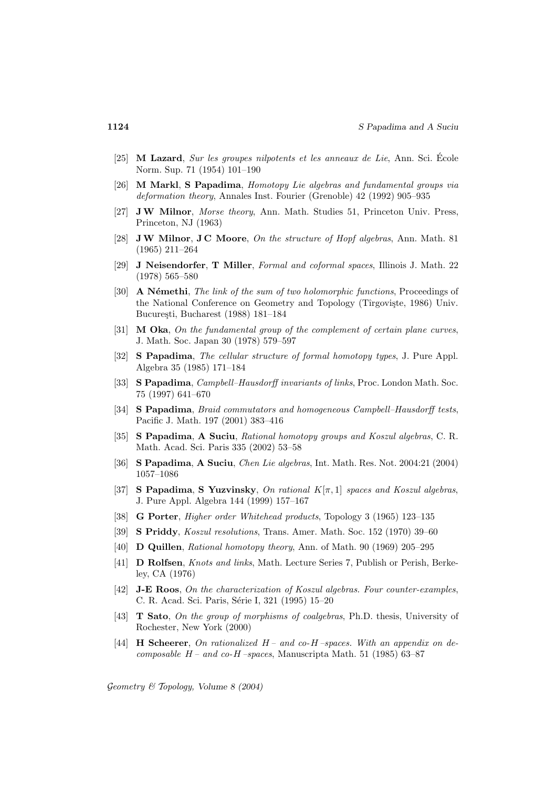- [25] **M Lazard**, Sur les groupes nilpotents et les anneaux de Lie, Ann. Sci. Ecole ´ Norm. Sup. 71 (1954) 101–190
- [26] **M Markl**, **S Papadima**, Homotopy Lie algebras and fundamental groups via deformation theory, Annales Inst. Fourier (Grenoble) 42 (1992) 905–935
- [27] **JW Milnor**, Morse theory, Ann. Math. Studies 51, Princeton Univ. Press, Princeton, NJ (1963)
- [28] **JW Milnor**, **J C Moore**, On the structure of Hopf algebras, Ann. Math. 81 (1965) 211–264
- [29] **J Neisendorfer**, **T Miller**, Formal and coformal spaces, Illinois J. Math. 22 (1978) 565–580
- [30] **A** Némethi, *The link of the sum of two holomorphic functions*, Proceedings of the National Conference on Geometry and Topology (Tîrgovişte, 1986) Univ. București, Bucharest (1988) 181–184
- [31] **M Oka**, On the fundamental group of the complement of certain plane curves, J. Math. Soc. Japan 30 (1978) 579–597
- [32] **S Papadima**, The cellular structure of formal homotopy types, J. Pure Appl. Algebra 35 (1985) 171–184
- [33] **S Papadima**, Campbell–Hausdorff invariants of links, Proc. London Math. Soc. 75 (1997) 641–670
- [34] **S Papadima**, Braid commutators and homogeneous Campbell–Hausdorff tests, Pacific J. Math. 197 (2001) 383–416
- [35] **S Papadima**, **A Suciu**, Rational homotopy groups and Koszul algebras, C. R. Math. Acad. Sci. Paris 335 (2002) 53–58
- [36] **S Papadima**, **A Suciu**, Chen Lie algebras, Int. Math. Res. Not. 2004:21 (2004) 1057–1086
- [37] **S Papadima, S Yuzvinsky**, On rational  $K[\pi, 1]$  spaces and Koszul algebras, J. Pure Appl. Algebra 144 (1999) 157–167
- [38] **G Porter**, Higher order Whitehead products, Topology 3 (1965) 123–135
- [39] **S Priddy**, Koszul resolutions, Trans. Amer. Math. Soc. 152 (1970) 39–60
- [40] **D Quillen**, Rational homotopy theory, Ann. of Math. 90 (1969) 205–295
- [41] **D Rolfsen**, Knots and links, Math. Lecture Series 7, Publish or Perish, Berkeley, CA (1976)
- [42] **J-E Roos**, On the characterization of Koszul algebras. Four counter-examples, C. R. Acad. Sci. Paris, Série I, 321 (1995) 15–20
- [43] **T Sato**, On the group of morphisms of coalgebras, Ph.D. thesis, University of Rochester, New York (2000)
- [44] **H Scheerer**, On rationalized H and co-H –spaces. With an appendix on decomposable  $H$  – and co-H –spaces, Manuscripta Math. 51 (1985) 63–87